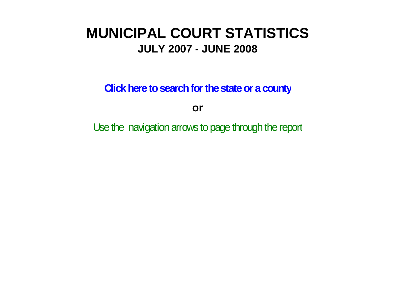# **MUNICIPAL COURT STATISTICSJULY 2007 - JUNE 2008**

**Click here to search for the state or a county**

**or**

Use the navigation arrows to page through the report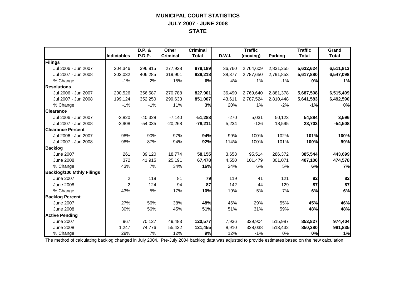## **MUNICIPAL COURT STATISTICS JULY 2007 - JUNE 2008 STATE**

|                                  |                    | D.P. &    | Other           | <b>Criminal</b> |        | <b>Traffic</b> |                | <b>Traffic</b> | Grand        |
|----------------------------------|--------------------|-----------|-----------------|-----------------|--------|----------------|----------------|----------------|--------------|
|                                  | <b>Indictables</b> | P.D.P.    | <b>Criminal</b> | <b>Total</b>    | D.W.I. | (moving)       | <b>Parking</b> | <b>Total</b>   | <b>Total</b> |
| Filings                          |                    |           |                 |                 |        |                |                |                |              |
| Jul 2006 - Jun 2007              | 204,346            | 396,915   | 277,928         | 879,189         | 36,760 | 2,764,609      | 2,831,255      | 5,632,624      | 6,511,813    |
| Jul 2007 - Jun 2008              | 203,032            | 406,285   | 319,901         | 929,218         | 38,377 | 2,787,650      | 2,791,853      | 5,617,880      | 6,547,098    |
| % Change                         | $-1%$              | 2%        | 15%             | 6%              | 4%     | 1%             | $-1%$          | 0%             | 1%           |
| <b>Resolutions</b>               |                    |           |                 |                 |        |                |                |                |              |
| Jul 2006 - Jun 2007              | 200,526            | 356,587   | 270,788         | 827,901         | 36,490 | 2,769,640      | 2,881,378      | 5,687,508      | 6,515,409    |
| Jul 2007 - Jun 2008              | 199,124            | 352,250   | 299,633         | 851,007         | 43,611 | 2,787,524      | 2,810,448      | 5,641,583      | 6,492,590    |
| % Change                         | $-1%$              | $-1%$     | 11%             | 3%              | 20%    | 1%             | $-2%$          | $-1%$          | 0%           |
| <b>Clearance</b>                 |                    |           |                 |                 |        |                |                |                |              |
| Jul 2006 - Jun 2007              | $-3,820$           | $-40,328$ | $-7,140$        | $-51,288$       | $-270$ | 5,031          | 50,123         | 54,884         | 3,596        |
| Jul 2007 - Jun 2008              | $-3,908$           | $-54.035$ | $-20,268$       | $-78,211$       | 5,234  | $-126$         | 18,595         | 23,703         | $-54,508$    |
| <b>Clearance Percent</b>         |                    |           |                 |                 |        |                |                |                |              |
| Jul 2006 - Jun 2007              | 98%                | 90%       | 97%             | 94%             | 99%    | 100%           | 102%           | 101%           | 100%         |
| Jul 2007 - Jun 2008              | 98%                | 87%       | 94%             | 92%             | 114%   | 100%           | 101%           | 100%           | 99%          |
| <b>Backlog</b>                   |                    |           |                 |                 |        |                |                |                |              |
| <b>June 2007</b>                 | 261                | 39,120    | 18,774          | 58,155          | 3,658  | 95,514         | 286,372        | 385,544        | 443,699      |
| <b>June 2008</b>                 | 372                | 41,915    | 25,191          | 67,478          | 4,550  | 101,479        | 301,071        | 407,100        | 474,578      |
| % Change                         | 43%                | 7%        | 34%             | 16%             | 24%    | 6%             | 5%             | 6%             | 7%           |
| <b>Backlog/100 Mthly Filings</b> |                    |           |                 |                 |        |                |                |                |              |
| <b>June 2007</b>                 | $\overline{2}$     | 118       | 81              | 79              | 119    | 41             | 121            | 82             | 82           |
| <b>June 2008</b>                 | $\overline{2}$     | 124       | 94              | 87              | 142    | 44             | 129            | 87             | 87           |
| % Change                         | 43%                | 5%        | 17%             | 10%             | 19%    | 5%             | 7%             | 6%             | 6%           |
| <b>Backlog Percent</b>           |                    |           |                 |                 |        |                |                |                |              |
| <b>June 2007</b>                 | 27%                | 56%       | 38%             | 48%             | 46%    | 29%            | 55%            | 45%            | 46%          |
| <b>June 2008</b>                 | 30%                | 56%       | 45%             | 51%             | 51%    | 31%            | 59%            | 48%            | 48%          |
| <b>Active Pending</b>            |                    |           |                 |                 |        |                |                |                |              |
| <b>June 2007</b>                 | 967                | 70,127    | 49,483          | 120,577         | 7,936  | 329,904        | 515,987        | 853,827        | 974,404      |
| <b>June 2008</b>                 | 1,247              | 74,776    | 55,432          | 131,455         | 8,910  | 328,038        | 513,432        | 850,380        | 981,835      |
| % Change                         | 29%                | 7%        | 12%             | 9%              | 12%    | $-1%$          | 0%             | 0%             | 1%           |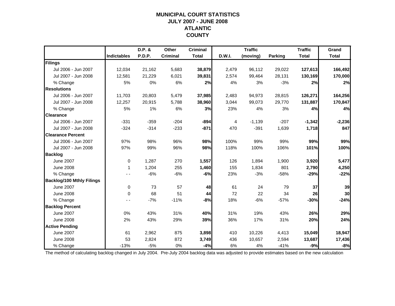### **MUNICIPAL COURT STATISTICSJULY 2007 - JUNE 2008 ATLANTIC COUNTY**

|                                  |                    | D.P. & | Other           | <b>Criminal</b> |        | <b>Traffic</b> |                | <b>Traffic</b> | Grand        |
|----------------------------------|--------------------|--------|-----------------|-----------------|--------|----------------|----------------|----------------|--------------|
|                                  | <b>Indictables</b> | P.D.P. | <b>Criminal</b> | <b>Total</b>    | D.W.I. | (moving)       | <b>Parking</b> | <b>Total</b>   | <b>Total</b> |
| Filings                          |                    |        |                 |                 |        |                |                |                |              |
| Jul 2006 - Jun 2007              | 12,034             | 21,162 | 5,683           | 38,879          | 2,479  | 96,112         | 29,022         | 127,613        | 166,492      |
| Jul 2007 - Jun 2008              | 12,581             | 21,229 | 6,021           | 39,831          | 2,574  | 99,464         | 28,131         | 130,169        | 170,000      |
| % Change                         | 5%                 | 0%     | 6%              | 2%              | 4%     | 3%             | $-3%$          | 2%             | 2%           |
| <b>Resolutions</b>               |                    |        |                 |                 |        |                |                |                |              |
| Jul 2006 - Jun 2007              | 11,703             | 20,803 | 5,479           | 37,985          | 2,483  | 94,973         | 28,815         | 126,271        | 164,256      |
| Jul 2007 - Jun 2008              | 12,257             | 20,915 | 5,788           | 38,960          | 3,044  | 99,073         | 29,770         | 131,887        | 170,847      |
| % Change                         | 5%                 | 1%     | 6%              | 3%              | 23%    | 4%             | 3%             | 4%             | 4%           |
| <b>Clearance</b>                 |                    |        |                 |                 |        |                |                |                |              |
| Jul 2006 - Jun 2007              | $-331$             | $-359$ | $-204$          | $-894$          | 4      | $-1,139$       | $-207$         | $-1,342$       | $-2,236$     |
| Jul 2007 - Jun 2008              | $-324$             | $-314$ | $-233$          | $-871$          | 470    | $-391$         | 1,639          | 1,718          | 847          |
| <b>Clearance Percent</b>         |                    |        |                 |                 |        |                |                |                |              |
| Jul 2006 - Jun 2007              | 97%                | 98%    | 96%             | 98%             | 100%   | 99%            | 99%            | 99%            | 99%          |
| Jul 2007 - Jun 2008              | 97%                | 99%    | 96%             | 98%             | 118%   | 100%           | 106%           | 101%           | 100%         |
| <b>Backlog</b>                   |                    |        |                 |                 |        |                |                |                |              |
| <b>June 2007</b>                 | $\mathbf 0$        | 1,287  | 270             | 1,557           | 126    | 1,894          | 1,900          | 3,920          | 5,477        |
| <b>June 2008</b>                 | 1                  | 1,204  | 255             | 1,460           | 155    | 1,834          | 801            | 2,790          | 4,250        |
| % Change                         |                    | $-6%$  | $-6%$           | -6%             | 23%    | $-3%$          | $-58%$         | $-29%$         | $-22%$       |
| <b>Backlog/100 Mthly Filings</b> |                    |        |                 |                 |        |                |                |                |              |
| <b>June 2007</b>                 | 0                  | 73     | 57              | 48              | 61     | 24             | 79             | 37             | 39           |
| <b>June 2008</b>                 | $\Omega$           | 68     | 51              | 44              | 72     | 22             | 34             | 26             | 30           |
| % Change                         |                    | $-7%$  | $-11%$          | $-8%$           | 18%    | $-6%$          | $-57%$         | $-30%$         | $-24%$       |
| <b>Backlog Percent</b>           |                    |        |                 |                 |        |                |                |                |              |
| <b>June 2007</b>                 | 0%                 | 43%    | 31%             | 40%             | 31%    | 19%            | 43%            | 26%            | 29%          |
| <b>June 2008</b>                 | 2%                 | 43%    | 29%             | 39%             | 36%    | 17%            | 31%            | 20%            | 24%          |
| <b>Active Pending</b>            |                    |        |                 |                 |        |                |                |                |              |
| <b>June 2007</b>                 | 61                 | 2,962  | 875             | 3,898           | 410    | 10,226         | 4,413          | 15,049         | 18,947       |
| <b>June 2008</b>                 | 53                 | 2,824  | 872             | 3,749           | 436    | 10,657         | 2,594          | 13,687         | 17,436       |
| % Change                         | $-13%$             | $-5%$  | 0%              | $-4%$           | 6%     | 4%             | $-41%$         | $-9%$          | $-8%$        |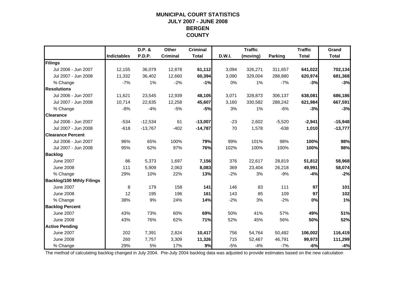### **MUNICIPAL COURT STATISTICSJULY 2007 - JUNE 2008 BERGEN COUNTY**

|                                  |                    | D.P. &    | Other           | <b>Criminal</b> |        | <b>Traffic</b> |                | <b>Traffic</b> | Grand        |
|----------------------------------|--------------------|-----------|-----------------|-----------------|--------|----------------|----------------|----------------|--------------|
|                                  | <b>Indictables</b> | P.D.P.    | <b>Criminal</b> | <b>Total</b>    | D.W.I. | (moving)       | <b>Parking</b> | <b>Total</b>   | <b>Total</b> |
| Filings                          |                    |           |                 |                 |        |                |                |                |              |
| Jul 2006 - Jun 2007              | 12,155             | 36,079    | 12,878          | 61,112          | 3,094  | 326,271        | 311,657        | 641,022        | 702,134      |
| Jul 2007 - Jun 2008              | 11,332             | 36,402    | 12,660          | 60,394          | 3,090  | 329,004        | 288,880        | 620,974        | 681,368      |
| % Change                         | $-7%$              | 1%        | $-2%$           | $-1%$           | 0%     | 1%             | $-7%$          | $-3%$          | $-3%$        |
| <b>Resolutions</b>               |                    |           |                 |                 |        |                |                |                |              |
| Jul 2006 - Jun 2007              | 11,621             | 23,545    | 12,939          | 48,105          | 3,071  | 328,873        | 306,137        | 638,081        | 686,186      |
| Jul 2007 - Jun 2008              | 10.714             | 22,635    | 12,258          | 45,607          | 3,160  | 330,582        | 288,242        | 621,984        | 667,591      |
| % Change                         | $-8%$              | $-4%$     | $-5%$           | $-5%$           | 3%     | 1%             | $-6%$          | $-3%$          | $-3%$        |
| <b>Clearance</b>                 |                    |           |                 |                 |        |                |                |                |              |
| Jul 2006 - Jun 2007              | $-534$             | $-12,534$ | 61              | $-13,007$       | $-23$  | 2,602          | $-5,520$       | $-2,941$       | $-15,948$    |
| Jul 2007 - Jun 2008              | $-618$             | $-13,767$ | $-402$          | $-14,787$       | 70     | 1,578          | $-638$         | 1,010          | $-13,777$    |
| <b>Clearance Percent</b>         |                    |           |                 |                 |        |                |                |                |              |
| Jul 2006 - Jun 2007              | 96%                | 65%       | 100%            | 79%             | 99%    | 101%           | 98%            | 100%           | 98%          |
| Jul 2007 - Jun 2008              | 95%                | 62%       | 97%             | 76%             | 102%   | 100%           | 100%           | 100%           | 98%          |
| <b>Backlog</b>                   |                    |           |                 |                 |        |                |                |                |              |
| <b>June 2007</b>                 | 86                 | 5,373     | 1,697           | 7,156           | 376    | 22,617         | 28,819         | 51,812         | 58,968       |
| <b>June 2008</b>                 | 111                | 5,909     | 2,063           | 8,083           | 369    | 23,404         | 26,218         | 49,991         | 58,074       |
| % Change                         | 29%                | 10%       | 22%             | 13%             | $-2%$  | 3%             | $-9%$          | $-4%$          | $-2%$        |
| <b>Backlog/100 Mthly Filings</b> |                    |           |                 |                 |        |                |                |                |              |
| <b>June 2007</b>                 | 8                  | 179       | 158             | 141             | 146    | 83             | 111            | 97             | 101          |
| <b>June 2008</b>                 | 12                 | 195       | 196             | 161             | 143    | 85             | 109            | 97             | 102          |
| % Change                         | 38%                | 9%        | 24%             | 14%             | $-2%$  | 3%             | $-2%$          | 0%             | 1%           |
| <b>Backlog Percent</b>           |                    |           |                 |                 |        |                |                |                |              |
| <b>June 2007</b>                 | 43%                | 73%       | 60%             | 69%             | 50%    | 41%            | 57%            | 49%            | 51%          |
| <b>June 2008</b>                 | 43%                | 76%       | 62%             | 71%             | 52%    | 45%            | 56%            | 50%            | 52%          |
| <b>Active Pending</b>            |                    |           |                 |                 |        |                |                |                |              |
| <b>June 2007</b>                 | 202                | 7,391     | 2,824           | 10,417          | 756    | 54,764         | 50,482         | 106,002        | 116,419      |
| <b>June 2008</b>                 | 260                | 7,757     | 3,309           | 11,326          | 715    | 52,467         | 46,791         | 99,973         | 111,299      |
| % Change                         | 29%                | 5%        | 17%             | 9%              | $-5%$  | $-4%$          | $-7%$          | $-6%$          | $-4%$        |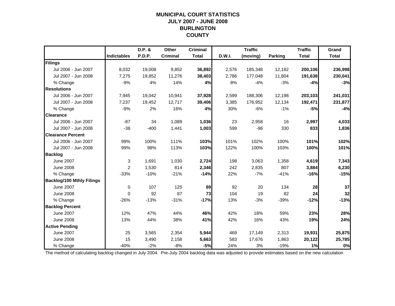### **MUNICIPAL COURT STATISTICSJULY 2007 - JUNE 2008 BURLINGTON COUNTY**

|                                  |                    | D.P. & | Other           | <b>Criminal</b> |        | <b>Traffic</b> |                | <b>Traffic</b> | Grand        |
|----------------------------------|--------------------|--------|-----------------|-----------------|--------|----------------|----------------|----------------|--------------|
|                                  | <b>Indictables</b> | P.D.P. | <b>Criminal</b> | <b>Total</b>    | D.W.I. | (moving)       | <b>Parking</b> | <b>Total</b>   | <b>Total</b> |
| Filings                          |                    |        |                 |                 |        |                |                |                |              |
| Jul 2006 - Jun 2007              | 8,032              | 19,008 | 9,852           | 36,892          | 2,576  | 185,348        | 12,182         | 200,106        | 236,998      |
| Jul 2007 - Jun 2008              | 7,275              | 19,852 | 11,276          | 38,403          | 2,786  | 177,048        | 11,804         | 191,638        | 230,041      |
| % Change                         | $-9%$              | 4%     | 14%             | 4%              | 8%     | $-4%$          | $-3%$          | $-4%$          | $-3%$        |
| <b>Resolutions</b>               |                    |        |                 |                 |        |                |                |                |              |
| Jul 2006 - Jun 2007              | 7,945              | 19,042 | 10,941          | 37,928          | 2,599  | 188,306        | 12,198         | 203,103        | 241,031      |
| Jul 2007 - Jun 2008              | 7,237              | 19,452 | 12,717          | 39,406          | 3,385  | 176,952        | 12,134         | 192,471        | 231,877      |
| % Change                         | $-9%$              | 2%     | 16%             | 4%              | 30%    | $-6%$          | $-1%$          | $-5%$          | $-4%$        |
| <b>Clearance</b>                 |                    |        |                 |                 |        |                |                |                |              |
| Jul 2006 - Jun 2007              | $-87$              | 34     | 1,089           | 1,036           | 23     | 2,958          | 16             | 2,997          | 4,033        |
| Jul 2007 - Jun 2008              | $-38$              | $-400$ | 1,441           | 1,003           | 599    | $-96$          | 330            | 833            | 1,836        |
| <b>Clearance Percent</b>         |                    |        |                 |                 |        |                |                |                |              |
| Jul 2006 - Jun 2007              | 99%                | 100%   | 111%            | 103%            | 101%   | 102%           | 100%           | 101%           | 102%         |
| Jul 2007 - Jun 2008              | 99%                | 98%    | 113%            | 103%            | 122%   | 100%           | 103%           | 100%           | 101%         |
| <b>Backlog</b>                   |                    |        |                 |                 |        |                |                |                |              |
| <b>June 2007</b>                 | 3                  | 1,691  | 1,030           | 2,724           | 198    | 3,063          | 1,358          | 4,619          | 7,343        |
| <b>June 2008</b>                 | $\overline{2}$     | 1,530  | 814             | 2,346           | 242    | 2,835          | 807            | 3,884          | 6,230        |
| % Change                         | $-33%$             | $-10%$ | $-21%$          | $-14%$          | 22%    | $-7%$          | $-41%$         | $-16%$         | $-15%$       |
| <b>Backlog/100 Mthly Filings</b> |                    |        |                 |                 |        |                |                |                |              |
| <b>June 2007</b>                 | $\mathbf 0$        | 107    | 125             | 89              | 92     | 20             | 134            | 28             | 37           |
| <b>June 2008</b>                 | $\mathbf{0}$       | 92     | 87              | 73              | 104    | 19             | 82             | 24             | 32           |
| % Change                         | $-26%$             | $-13%$ | $-31%$          | $-17%$          | 13%    | $-3%$          | $-39%$         | $-12%$         | $-13%$       |
| <b>Backlog Percent</b>           |                    |        |                 |                 |        |                |                |                |              |
| <b>June 2007</b>                 | 12%                | 47%    | 44%             | 46%             | 42%    | 18%            | 59%            | 23%            | 28%          |
| <b>June 2008</b>                 | 13%                | 44%    | 38%             | 41%             | 42%    | 16%            | 43%            | 19%            | 24%          |
| <b>Active Pending</b>            |                    |        |                 |                 |        |                |                |                |              |
| <b>June 2007</b>                 | 25                 | 3,565  | 2,354           | 5,944           | 469    | 17,149         | 2,313          | 19,931         | 25,875       |
| <b>June 2008</b>                 | 15                 | 3,490  | 2,158           | 5,663           | 583    | 17,676         | 1,863          | 20,122         | 25,785       |
| % Change                         | $-40%$             | $-2%$  | $-8%$           | $-5%$           | 24%    | 3%             | $-19%$         | 1%             | 0%           |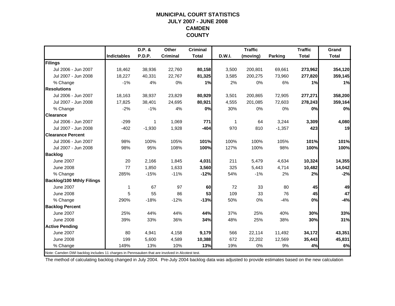#### **MUNICIPAL COURT STATISTICSJULY 2007 - JUNE 2008 CAMDEN COUNTY**

|                                                                                                |                    | D.P. &   | Other           | <b>Criminal</b> |        | <b>Traffic</b> |          | <b>Traffic</b> | Grand        |
|------------------------------------------------------------------------------------------------|--------------------|----------|-----------------|-----------------|--------|----------------|----------|----------------|--------------|
|                                                                                                | <b>Indictables</b> | P.D.P.   | <b>Criminal</b> | <b>Total</b>    | D.W.I. | (moving)       | Parking  | <b>Total</b>   | <b>Total</b> |
| Filings                                                                                        |                    |          |                 |                 |        |                |          |                |              |
| Jul 2006 - Jun 2007                                                                            | 18,462             | 38,936   | 22,760          | 80,158          | 3,500  | 200,801        | 69,661   | 273,962        | 354,120      |
| Jul 2007 - Jun 2008                                                                            | 18,227             | 40,331   | 22,767          | 81,325          | 3,585  | 200,275        | 73,960   | 277,820        | 359,145      |
| % Change                                                                                       | $-1%$              | 4%       | 0%              | 1%              | 2%     | 0%             | 6%       | 1%             | 1%           |
| <b>Resolutions</b>                                                                             |                    |          |                 |                 |        |                |          |                |              |
| Jul 2006 - Jun 2007                                                                            | 18,163             | 38,937   | 23,829          | 80,929          | 3,501  | 200,865        | 72,905   | 277,271        | 358,200      |
| Jul 2007 - Jun 2008                                                                            | 17,825             | 38,401   | 24,695          | 80,921          | 4,555  | 201,085        | 72,603   | 278,243        | 359,164      |
| % Change                                                                                       | $-2%$              | $-1%$    | 4%              | 0%              | 30%    | 0%             | 0%       | 0%             | 0%           |
| <b>Clearance</b>                                                                               |                    |          |                 |                 |        |                |          |                |              |
| Jul 2006 - Jun 2007                                                                            | $-299$             | 1        | 1,069           | 771             | 1      | 64             | 3,244    | 3,309          | 4,080        |
| Jul 2007 - Jun 2008                                                                            | $-402$             | $-1,930$ | 1,928           | $-404$          | 970    | 810            | $-1,357$ | 423            | 19           |
| <b>Clearance Percent</b>                                                                       |                    |          |                 |                 |        |                |          |                |              |
| Jul 2006 - Jun 2007                                                                            | 98%                | 100%     | 105%            | 101%            | 100%   | 100%           | 105%     | 101%           | 101%         |
| Jul 2007 - Jun 2008                                                                            | 98%                | 95%      | 108%            | 100%            | 127%   | 100%           | 98%      | 100%           | 100%         |
| <b>Backlog</b>                                                                                 |                    |          |                 |                 |        |                |          |                |              |
| <b>June 2007</b>                                                                               | 20                 | 2,166    | 1,845           | 4,031           | 211    | 5,479          | 4,634    | 10,324         | 14,355       |
| <b>June 2008</b>                                                                               | 77                 | 1,850    | 1,633           | 3,560           | 325    | 5,443          | 4,714    | 10,482         | 14,042       |
| % Change                                                                                       | 285%               | $-15%$   | $-11%$          | $-12%$          | 54%    | $-1%$          | 2%       | 2%             | $-2%$        |
| <b>Backlog/100 Mthly Filings</b>                                                               |                    |          |                 |                 |        |                |          |                |              |
| <b>June 2007</b>                                                                               | 1                  | 67       | 97              | 60              | 72     | 33             | 80       | 45             | 49           |
| <b>June 2008</b>                                                                               | 5                  | 55       | 86              | 53              | 109    | 33             | 76       | 45             | 47           |
| % Change                                                                                       | 290%               | $-18%$   | $-12%$          | $-13%$          | 50%    | 0%             | $-4%$    | 0%             | $-4%$        |
| <b>Backlog Percent</b>                                                                         |                    |          |                 |                 |        |                |          |                |              |
| <b>June 2007</b>                                                                               | 25%                | 44%      | 44%             | 44%             | 37%    | 25%            | 40%      | 30%            | 33%          |
| <b>June 2008</b>                                                                               | 39%                | 33%      | 36%             | 34%             | 48%    | 25%            | 38%      | 30%            | 31%          |
| <b>Active Pending</b>                                                                          |                    |          |                 |                 |        |                |          |                |              |
| <b>June 2007</b>                                                                               | 80                 | 4,941    | 4,158           | 9,179           | 566    | 22,114         | 11,492   | 34,172         | 43,351       |
| <b>June 2008</b>                                                                               | 199                | 5,600    | 4,589           | 10,388          | 672    | 22,202         | 12,569   | 35,443         | 45,831       |
| % Change                                                                                       | 149%               | 13%      | 10%             | 13%             | 19%    | 0%             | 9%       | 4%             | 6%           |
| Note: Camden DWI backlog includes 11 charges in Pennsauken that are involved in Alcotest test. |                    |          |                 |                 |        |                |          |                |              |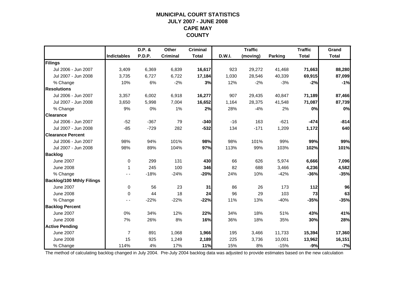### **MUNICIPAL COURT STATISTICSJULY 2007 - JUNE 2008 CAPE MAY COUNTY**

|                                  |                    | D.P. & | Other           | <b>Criminal</b> |        | <b>Traffic</b> |                | <b>Traffic</b> | Grand        |
|----------------------------------|--------------------|--------|-----------------|-----------------|--------|----------------|----------------|----------------|--------------|
|                                  | <b>Indictables</b> | P.D.P. | <b>Criminal</b> | <b>Total</b>    | D.W.I. | (moving)       | <b>Parking</b> | <b>Total</b>   | <b>Total</b> |
| Filings                          |                    |        |                 |                 |        |                |                |                |              |
| Jul 2006 - Jun 2007              | 3,409              | 6,369  | 6,839           | 16,617          | 923    | 29,272         | 41,468         | 71,663         | 88,280       |
| Jul 2007 - Jun 2008              | 3,735              | 6,727  | 6,722           | 17,184          | 1,030  | 28,546         | 40,339         | 69,915         | 87,099       |
| % Change                         | 10%                | 6%     | $-2%$           | 3%              | 12%    | $-2%$          | $-3%$          | $-2%$          | $-1%$        |
| <b>Resolutions</b>               |                    |        |                 |                 |        |                |                |                |              |
| Jul 2006 - Jun 2007              | 3,357              | 6,002  | 6,918           | 16,277          | 907    | 29,435         | 40,847         | 71,189         | 87,466       |
| Jul 2007 - Jun 2008              | 3,650              | 5,998  | 7,004           | 16,652          | 1,164  | 28,375         | 41,548         | 71,087         | 87,739       |
| % Change                         | 9%                 | 0%     | 1%              | 2%              | 28%    | $-4%$          | 2%             | 0%             | 0%           |
| <b>Clearance</b>                 |                    |        |                 |                 |        |                |                |                |              |
| Jul 2006 - Jun 2007              | $-52$              | $-367$ | 79              | $-340$          | $-16$  | 163            | $-621$         | $-474$         | $-814$       |
| Jul 2007 - Jun 2008              | $-85$              | $-729$ | 282             | $-532$          | 134    | $-171$         | 1,209          | 1,172          | 640          |
| <b>Clearance Percent</b>         |                    |        |                 |                 |        |                |                |                |              |
| Jul 2006 - Jun 2007              | 98%                | 94%    | 101%            | 98%             | 98%    | 101%           | 99%            | 99%            | 99%          |
| Jul 2007 - Jun 2008              | 98%                | 89%    | 104%            | 97%             | 113%   | 99%            | 103%           | 102%           | 101%         |
| <b>Backlog</b>                   |                    |        |                 |                 |        |                |                |                |              |
| <b>June 2007</b>                 | 0                  | 299    | 131             | 430             | 66     | 626            | 5,974          | 6,666          | 7,096        |
| <b>June 2008</b>                 | 1                  | 245    | 100             | 346             | 82     | 688            | 3,466          | 4,236          | 4,582        |
| % Change                         |                    | $-18%$ | $-24%$          | $-20%$          | 24%    | 10%            | $-42%$         | $-36%$         | $-35%$       |
| <b>Backlog/100 Mthly Filings</b> |                    |        |                 |                 |        |                |                |                |              |
| <b>June 2007</b>                 | $\pmb{0}$          | 56     | 23              | 31              | 86     | 26             | 173            | 112            | 96           |
| <b>June 2008</b>                 | $\Omega$           | 44     | 18              | 24              | 96     | 29             | 103            | 73             | 63           |
| % Change                         |                    | $-22%$ | $-22%$          | $-22%$          | 11%    | 13%            | $-40%$         | $-35%$         | $-35%$       |
| <b>Backlog Percent</b>           |                    |        |                 |                 |        |                |                |                |              |
| <b>June 2007</b>                 | 0%                 | 34%    | 12%             | 22%             | 34%    | 18%            | 51%            | 43%            | 41%          |
| <b>June 2008</b>                 | 7%                 | 26%    | 8%              | 16%             | 36%    | 18%            | 35%            | 30%            | 28%          |
| <b>Active Pending</b>            |                    |        |                 |                 |        |                |                |                |              |
| <b>June 2007</b>                 | $\overline{7}$     | 891    | 1,068           | 1,966           | 195    | 3,466          | 11,733         | 15,394         | 17,360       |
| <b>June 2008</b>                 | 15                 | 925    | 1,249           | 2,189           | 225    | 3,736          | 10,001         | 13,962         | 16,151       |
| % Change                         | 114%               | 4%     | 17%             | 11%             | 15%    | 8%             | $-15%$         | $-9%$          | $-7%$        |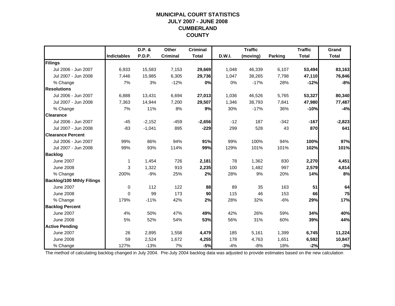### **MUNICIPAL COURT STATISTICSJULY 2007 - JUNE 2008 CUMBERLAND COUNTY**

|                                  |                    | D.P. &   | Other           | <b>Criminal</b> |        | <b>Traffic</b> |                | <b>Traffic</b> | Grand        |
|----------------------------------|--------------------|----------|-----------------|-----------------|--------|----------------|----------------|----------------|--------------|
|                                  | <b>Indictables</b> | P.D.P.   | <b>Criminal</b> | <b>Total</b>    | D.W.I. | (moving)       | <b>Parking</b> | <b>Total</b>   | <b>Total</b> |
| Filings                          |                    |          |                 |                 |        |                |                |                |              |
| Jul 2006 - Jun 2007              | 6,933              | 15,583   | 7,153           | 29,669          | 1,048  | 46,339         | 6,107          | 53,494         | 83,163       |
| Jul 2007 - Jun 2008              | 7.446              | 15,985   | 6,305           | 29,736          | 1,047  | 38,265         | 7,798          | 47,110         | 76,846       |
| % Change                         | 7%                 | 3%       | $-12%$          | 0%              | 0%     | $-17%$         | 28%            | $-12%$         | $-8%$        |
| <b>Resolutions</b>               |                    |          |                 |                 |        |                |                |                |              |
| Jul 2006 - Jun 2007              | 6,888              | 13,431   | 6,694           | 27,013          | 1,036  | 46,526         | 5,765          | 53,327         | 80,340       |
| Jul 2007 - Jun 2008              | 7,363              | 14,944   | 7,200           | 29,507          | 1,346  | 38,793         | 7,841          | 47,980         | 77,487       |
| % Change                         | 7%                 | 11%      | 8%              | 9%              | 30%    | $-17%$         | 36%            | $-10%$         | $-4%$        |
| <b>Clearance</b>                 |                    |          |                 |                 |        |                |                |                |              |
| Jul 2006 - Jun 2007              | $-45$              | $-2,152$ | $-459$          | $-2,656$        | $-12$  | 187            | $-342$         | $-167$         | $-2,823$     |
| Jul 2007 - Jun 2008              | $-83$              | $-1,041$ | 895             | $-229$          | 299    | 528            | 43             | 870            | 641          |
| <b>Clearance Percent</b>         |                    |          |                 |                 |        |                |                |                |              |
| Jul 2006 - Jun 2007              | 99%                | 86%      | 94%             | 91%             | 99%    | 100%           | 94%            | 100%           | 97%          |
| Jul 2007 - Jun 2008              | 99%                | 93%      | 114%            | 99%             | 129%   | 101%           | 101%           | 102%           | 101%         |
| <b>Backlog</b>                   |                    |          |                 |                 |        |                |                |                |              |
| <b>June 2007</b>                 | $\mathbf 1$        | 1,454    | 726             | 2,181           | 78     | 1,362          | 830            | 2,270          | 4,451        |
| <b>June 2008</b>                 | 3                  | 1,322    | 910             | 2,235           | 100    | 1,482          | 997            | 2,579          | 4,814        |
| % Change                         | 200%               | $-9%$    | 25%             | 2%              | 28%    | 9%             | 20%            | 14%            | 8%           |
| <b>Backlog/100 Mthly Filings</b> |                    |          |                 |                 |        |                |                |                |              |
| <b>June 2007</b>                 | 0                  | 112      | 122             | 88              | 89     | 35             | 163            | 51             | 64           |
| <b>June 2008</b>                 | $\Omega$           | 99       | 173             | 90              | 115    | 46             | 153            | 66             | 75           |
| % Change                         | 179%               | $-11%$   | 42%             | 2%              | 28%    | 32%            | $-6%$          | 29%            | 17%          |
| <b>Backlog Percent</b>           |                    |          |                 |                 |        |                |                |                |              |
| <b>June 2007</b>                 | 4%                 | 50%      | 47%             | 49%             | 42%    | 26%            | 59%            | 34%            | 40%          |
| <b>June 2008</b>                 | 5%                 | 52%      | 54%             | 53%             | 56%    | 31%            | 60%            | 39%            | 44%          |
| <b>Active Pending</b>            |                    |          |                 |                 |        |                |                |                |              |
| <b>June 2007</b>                 | 26                 | 2,895    | 1,558           | 4,479           | 185    | 5,161          | 1,399          | 6,745          | 11,224       |
| <b>June 2008</b>                 | 59                 | 2,524    | 1,672           | 4,255           | 178    | 4,763          | 1,651          | 6,592          | 10,847       |
| % Change                         | 127%               | $-13%$   | 7%              | $-5%$           | $-4%$  | $-8%$          | 18%            | $-2%$          | $-3%$        |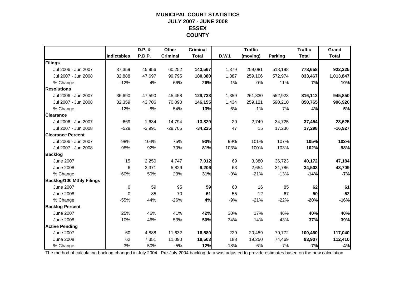### **MUNICIPAL COURT STATISTICSJULY 2007 - JUNE 2008 ESSEX COUNTY**

|                                  |                    | D.P. &   | Other           | <b>Criminal</b> |               | <b>Traffic</b> |                | <b>Traffic</b> | Grand        |
|----------------------------------|--------------------|----------|-----------------|-----------------|---------------|----------------|----------------|----------------|--------------|
|                                  | <b>Indictables</b> | P.D.P.   | <b>Criminal</b> | <b>Total</b>    | <b>D.W.I.</b> | (moving)       | <b>Parking</b> | <b>Total</b>   | <b>Total</b> |
| Filings                          |                    |          |                 |                 |               |                |                |                |              |
| Jul 2006 - Jun 2007              | 37,359             | 45,956   | 60,252          | 143,567         | 1,379         | 259,081        | 518,198        | 778,658        | 922,225      |
| Jul 2007 - Jun 2008              | 32,888             | 47.697   | 99,795          | 180,380         | 1,387         | 259,106        | 572,974        | 833,467        | 1,013,847    |
| % Change                         | $-12%$             | 4%       | 66%             | 26%             | 1%            | 0%             | 11%            | 7%             | 10%          |
| <b>Resolutions</b>               |                    |          |                 |                 |               |                |                |                |              |
| Jul 2006 - Jun 2007              | 36,690             | 47,590   | 45,458          | 129,738         | 1,359         | 261,830        | 552,923        | 816,112        | 945,850      |
| Jul 2007 - Jun 2008              | 32,359             | 43,706   | 70,090          | 146,155         | 1,434         | 259,121        | 590,210        | 850,765        | 996,920      |
| % Change                         | $-12%$             | $-8%$    | 54%             | 13%             | 6%            | $-1%$          | 7%             | 4%             | <b>5%</b>    |
| <b>Clearance</b>                 |                    |          |                 |                 |               |                |                |                |              |
| Jul 2006 - Jun 2007              | $-669$             | 1,634    | $-14,794$       | $-13,829$       | $-20$         | 2,749          | 34,725         | 37,454         | 23,625       |
| Jul 2007 - Jun 2008              | $-529$             | $-3,991$ | $-29,705$       | $-34,225$       | 47            | 15             | 17,236         | 17,298         | $-16,927$    |
| <b>Clearance Percent</b>         |                    |          |                 |                 |               |                |                |                |              |
| Jul 2006 - Jun 2007              | 98%                | 104%     | 75%             | 90%             | 99%           | 101%           | 107%           | 105%           | 103%         |
| Jul 2007 - Jun 2008              | 98%                | 92%      | 70%             | 81%             | 103%          | 100%           | 103%           | 102%           | 98%          |
| <b>Backlog</b>                   |                    |          |                 |                 |               |                |                |                |              |
| <b>June 2007</b>                 | 15                 | 2,250    | 4,747           | 7,012           | 69            | 3,380          | 36,723         | 40,172         | 47,184       |
| <b>June 2008</b>                 | 6                  | 3,371    | 5,829           | 9,206           | 63            | 2,654          | 31,786         | 34,503         | 43,709       |
| % Change                         | $-60%$             | 50%      | 23%             | 31%             | $-9%$         | $-21%$         | $-13%$         | $-14%$         | $-7%$        |
| <b>Backlog/100 Mthly Filings</b> |                    |          |                 |                 |               |                |                |                |              |
| <b>June 2007</b>                 | 0                  | 59       | 95              | 59              | 60            | 16             | 85             | 62             | 61           |
| <b>June 2008</b>                 | $\Omega$           | 85       | 70              | 61              | 55            | 12             | 67             | 50             | 52           |
| % Change                         | $-55%$             | 44%      | $-26%$          | 4%              | $-9%$         | $-21%$         | $-22%$         | $-20%$         | $-16%$       |
| <b>Backlog Percent</b>           |                    |          |                 |                 |               |                |                |                |              |
| <b>June 2007</b>                 | 25%                | 46%      | 41%             | 42%             | 30%           | 17%            | 46%            | 40%            | 40%          |
| <b>June 2008</b>                 | 10%                | 46%      | 53%             | 50%             | 34%           | 14%            | 43%            | 37%            | 39%          |
| <b>Active Pending</b>            |                    |          |                 |                 |               |                |                |                |              |
| <b>June 2007</b>                 | 60                 | 4,888    | 11,632          | 16,580          | 229           | 20,459         | 79,772         | 100,460        | 117,040      |
| <b>June 2008</b>                 | 62                 | 7,351    | 11,090          | 18,503          | 188           | 19,250         | 74,469         | 93,907         | 112,410      |
| % Change                         | 3%                 | 50%      | $-5%$           | 12%             | $-18%$        | $-6%$          | $-7%$          | $-7%$          | $-4%$        |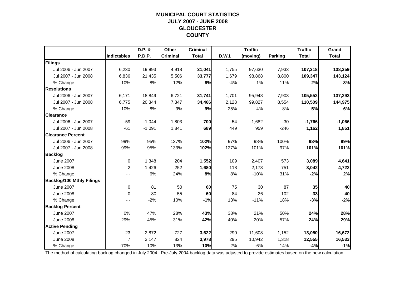### **MUNICIPAL COURT STATISTICSJULY 2007 - JUNE 2008 GLOUCESTER COUNTY**

|                                  |                    | D.P. &   | Other           | <b>Criminal</b> |        | <b>Traffic</b> |                | <b>Traffic</b> | Grand        |
|----------------------------------|--------------------|----------|-----------------|-----------------|--------|----------------|----------------|----------------|--------------|
|                                  | <b>Indictables</b> | P.D.P.   | <b>Criminal</b> | <b>Total</b>    | D.W.I. | (moving)       | <b>Parking</b> | <b>Total</b>   | <b>Total</b> |
| Filings                          |                    |          |                 |                 |        |                |                |                |              |
| Jul 2006 - Jun 2007              | 6,230              | 19,893   | 4,918           | 31,041          | 1,755  | 97,630         | 7,933          | 107,318        | 138,359      |
| Jul 2007 - Jun 2008              | 6,836              | 21,435   | 5,506           | 33,777          | 1,679  | 98,868         | 8,800          | 109,347        | 143,124      |
| % Change                         | 10%                | 8%       | 12%             | 9%              | $-4%$  | 1%             | 11%            | 2%             | 3%           |
| <b>Resolutions</b>               |                    |          |                 |                 |        |                |                |                |              |
| Jul 2006 - Jun 2007              | 6,171              | 18,849   | 6,721           | 31,741          | 1,701  | 95,948         | 7,903          | 105,552        | 137,293      |
| Jul 2007 - Jun 2008              | 6.775              | 20,344   | 7,347           | 34,466          | 2,128  | 99,827         | 8,554          | 110,509        | 144,975      |
| % Change                         | 10%                | 8%       | 9%              | 9%              | 25%    | 4%             | 8%             | 5%             | 6%           |
| <b>Clearance</b>                 |                    |          |                 |                 |        |                |                |                |              |
| Jul 2006 - Jun 2007              | $-59$              | $-1,044$ | 1,803           | 700             | $-54$  | $-1,682$       | $-30$          | $-1,766$       | $-1,066$     |
| Jul 2007 - Jun 2008              | $-61$              | $-1,091$ | 1,841           | 689             | 449    | 959            | $-246$         | 1,162          | 1,851        |
| <b>Clearance Percent</b>         |                    |          |                 |                 |        |                |                |                |              |
| Jul 2006 - Jun 2007              | 99%                | 95%      | 137%            | 102%            | 97%    | 98%            | 100%           | 98%            | 99%          |
| Jul 2007 - Jun 2008              | 99%                | 95%      | 133%            | 102%            | 127%   | 101%           | 97%            | 101%           | 101%         |
| <b>Backlog</b>                   |                    |          |                 |                 |        |                |                |                |              |
| <b>June 2007</b>                 | $\mathbf 0$        | 1,348    | 204             | 1,552           | 109    | 2,407          | 573            | 3,089          | 4,641        |
| <b>June 2008</b>                 | 2                  | 1,426    | 252             | 1,680           | 118    | 2,173          | 751            | 3,042          | 4,722        |
| % Change                         |                    | 6%       | 24%             | 8%              | 8%     | $-10%$         | 31%            | $-2%$          | 2%           |
| <b>Backlog/100 Mthly Filings</b> |                    |          |                 |                 |        |                |                |                |              |
| <b>June 2007</b>                 | 0                  | 81       | 50              | 60              | 75     | 30             | 87             | 35             | 40           |
| <b>June 2008</b>                 | 0                  | 80       | 55              | 60              | 84     | 26             | 102            | 33             | 40           |
| % Change                         |                    | $-2%$    | 10%             | $-1%$           | 13%    | $-11%$         | 18%            | $-3%$          | $-2%$        |
| <b>Backlog Percent</b>           |                    |          |                 |                 |        |                |                |                |              |
| <b>June 2007</b>                 | 0%                 | 47%      | 28%             | 43%             | 38%    | 21%            | 50%            | 24%            | 28%          |
| <b>June 2008</b>                 | 29%                | 45%      | 31%             | 42%             | 40%    | 20%            | 57%            | 24%            | 29%          |
| <b>Active Pending</b>            |                    |          |                 |                 |        |                |                |                |              |
| <b>June 2007</b>                 | 23                 | 2,872    | 727             | 3,622           | 290    | 11,608         | 1,152          | 13,050         | 16,672       |
| <b>June 2008</b>                 | $\overline{7}$     | 3,147    | 824             | 3,978           | 295    | 10,942         | 1,318          | 12,555         | 16,533       |
| % Change                         | $-70%$             | 10%      | 13%             | 10%             | 2%     | $-6%$          | 14%            | $-4%$          | $-1%$        |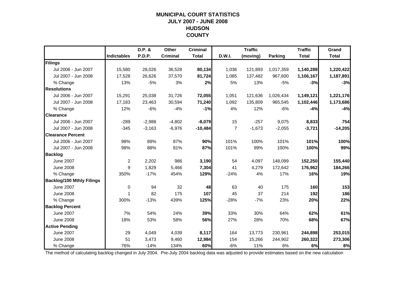### **MUNICIPAL COURT STATISTICSJULY 2007 - JUNE 2008 HUDSON COUNTY**

|                                  |                    | D.P. &   | Other           | <b>Criminal</b> |                | <b>Traffic</b> |           | <b>Traffic</b> | Grand        |
|----------------------------------|--------------------|----------|-----------------|-----------------|----------------|----------------|-----------|----------------|--------------|
|                                  | <b>Indictables</b> | P.D.P.   | <b>Criminal</b> | <b>Total</b>    | <b>D.W.I.</b>  | (moving)       | Parking   | <b>Total</b>   | <b>Total</b> |
| Filings                          |                    |          |                 |                 |                |                |           |                |              |
| Jul 2006 - Jun 2007              | 15,580             | 28,026   | 36,528          | 80,134          | 1,036          | 121,893        | 1,017,359 | 1,140,288      | 1,220,422    |
| Jul 2007 - Jun 2008              | 17,528             | 26,626   | 37,570          | 81,724          | 1,085          | 137,482        | 967,600   | 1,106,167      | 1,187,891    |
| % Change                         | 13%                | $-5%$    | 3%              | 2%              | 5%             | 13%            | $-5%$     | $-3%$          | $-3%$        |
| <b>Resolutions</b>               |                    |          |                 |                 |                |                |           |                |              |
| Jul 2006 - Jun 2007              | 15,291             | 25,038   | 31,726          | 72,055          | 1,051          | 121,636        | 1,026,434 | 1,149,121      | 1,221,176    |
| Jul 2007 - Jun 2008              | 17,183             | 23,463   | 30,594          | 71,240          | 1.092          | 135,809        | 965,545   | 1,102,446      | 1,173,686    |
| % Change                         | 12%                | $-6%$    | $-4%$           | $-1%$           | 4%             | 12%            | $-6%$     | $-4%$          | $-4%$        |
| <b>Clearance</b>                 |                    |          |                 |                 |                |                |           |                |              |
| Jul 2006 - Jun 2007              | $-289$             | $-2,988$ | $-4,802$        | $-8,079$        | 15             | $-257$         | 9,075     | 8,833          | 754          |
| Jul 2007 - Jun 2008              | $-345$             | $-3,163$ | $-6,976$        | $-10,484$       | $\overline{7}$ | $-1,673$       | $-2,055$  | $-3,721$       | $-14,205$    |
| <b>Clearance Percent</b>         |                    |          |                 |                 |                |                |           |                |              |
| Jul 2006 - Jun 2007              | 98%                | 89%      | 87%             | 90%             | 101%           | 100%           | 101%      | 101%           | 100%         |
| Jul 2007 - Jun 2008              | 98%                | 88%      | 81%             | 87%             | 101%           | 99%            | 100%      | 100%           | 99%          |
| <b>Backlog</b>                   |                    |          |                 |                 |                |                |           |                |              |
| <b>June 2007</b>                 | $\overline{2}$     | 2,202    | 986             | 3,190           | 54             | 4,097          | 148,099   | 152,250        | 155,440      |
| <b>June 2008</b>                 | 9                  | 1,829    | 5,466           | 7,304           | 41             | 4,279          | 172,642   | 176,962        | 184,266      |
| % Change                         | 350%               | $-17%$   | 454%            | 129%            | $-24%$         | 4%             | 17%       | 16%            | 19%          |
| <b>Backlog/100 Mthly Filings</b> |                    |          |                 |                 |                |                |           |                |              |
| <b>June 2007</b>                 | $\mathbf 0$        | 94       | 32              | 48              | 63             | 40             | 175       | 160            | 153          |
| <b>June 2008</b>                 | 1                  | 82       | 175             | 107             | 45             | 37             | 214       | 192            | 186          |
| % Change                         | 300%               | $-13%$   | 439%            | 125%            | $-28%$         | $-7%$          | 23%       | 20%            | 22%          |
| <b>Backlog Percent</b>           |                    |          |                 |                 |                |                |           |                |              |
| <b>June 2007</b>                 | 7%                 | 54%      | 24%             | 39%             | 33%            | 30%            | 64%       | 62%            | 61%          |
| <b>June 2008</b>                 | 18%                | 53%      | 58%             | 56%             | 27%            | 28%            | 70%       | 68%            | 67%          |
| <b>Active Pending</b>            |                    |          |                 |                 |                |                |           |                |              |
| <b>June 2007</b>                 | 29                 | 4.049    | 4,039           | 8,117           | 164            | 13,773         | 230,961   | 244,898        | 253,015      |
| <b>June 2008</b>                 | 51                 | 3,473    | 9,460           | 12,984          | 154            | 15,266         | 244,902   | 260,322        | 273,306      |
| % Change                         | 76%                | $-14%$   | 134%            | 60%             | $-6%$          | 11%            | 6%        | 6%             | 8%           |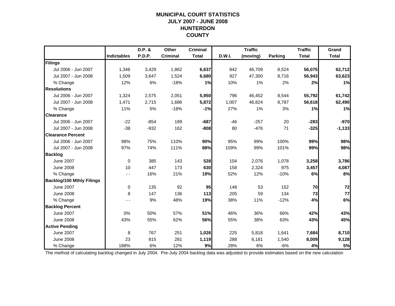### **MUNICIPAL COURT STATISTICSJULY 2007 - JUNE 2008 HUNTERDON COUNTY**

|                                  |                    | D.P. & | Other           | <b>Criminal</b> |        | <b>Traffic</b> |                | <b>Traffic</b> | Grand        |
|----------------------------------|--------------------|--------|-----------------|-----------------|--------|----------------|----------------|----------------|--------------|
|                                  | <b>Indictables</b> | P.D.P. | <b>Criminal</b> | <b>Total</b>    | D.W.I. | (moving)       | <b>Parking</b> | <b>Total</b>   | <b>Total</b> |
| Filings                          |                    |        |                 |                 |        |                |                |                |              |
| Jul 2006 - Jun 2007              | 1,346              | 3,429  | 1,862           | 6,637           | 842    | 46,709         | 8,524          | 56,075         | 62,712       |
| Jul 2007 - Jun 2008              | 1,509              | 3,647  | 1,524           | 6,680           | 927    | 47,300         | 8,716          | 56,943         | 63,623       |
| % Change                         | 12%                | 6%     | $-18%$          | 1%              | 10%    | 1%             | 2%             | 2%             | 1%           |
| <b>Resolutions</b>               |                    |        |                 |                 |        |                |                |                |              |
| Jul 2006 - Jun 2007              | 1,324              | 2,575  | 2,051           | 5,950           | 796    | 46,452         | 8,544          | 55,792         | 61,742       |
| Jul 2007 - Jun 2008              | 1,471              | 2,715  | 1,686           | 5,872           | 1,007  | 46,824         | 8,787          | 56,618         | 62,490       |
| % Change                         | 11%                | 5%     | $-18%$          | $-1%$           | 27%    | 1%             | 3%             | 1%             | 1%           |
| <b>Clearance</b>                 |                    |        |                 |                 |        |                |                |                |              |
| Jul 2006 - Jun 2007              | $-22$              | $-854$ | 189             | $-687$          | $-46$  | $-257$         | 20             | $-283$         | $-970$       |
| Jul 2007 - Jun 2008              | $-38$              | $-932$ | 162             | $-808$          | 80     | $-476$         | 71             | $-325$         | $-1,133$     |
| <b>Clearance Percent</b>         |                    |        |                 |                 |        |                |                |                |              |
| Jul 2006 - Jun 2007              | 98%                | 75%    | 110%            | 90%             | 95%    | 99%            | 100%           | 99%            | 98%          |
| Jul 2007 - Jun 2008              | 97%                | 74%    | 111%            | 88%             | 109%   | 99%            | 101%           | 99%            | 98%          |
| <b>Backlog</b>                   |                    |        |                 |                 |        |                |                |                |              |
| <b>June 2007</b>                 | $\mathbf 0$        | 385    | 143             | 528             | 104    | 2,076          | 1,078          | 3,258          | 3,786        |
| <b>June 2008</b>                 | 10                 | 447    | 173             | 630             | 158    | 2,324          | 975            | 3,457          | 4,087        |
| % Change                         | - -                | 16%    | 21%             | 19%             | 52%    | 12%            | $-10%$         | 6%             | 8%           |
| <b>Backlog/100 Mthly Filings</b> |                    |        |                 |                 |        |                |                |                |              |
| <b>June 2007</b>                 | 0                  | 135    | 92              | 95              | 148    | 53             | 152            | 70             | 72           |
| <b>June 2008</b>                 | 8                  | 147    | 136             | 113             | 205    | 59             | 134            | 73             | 77           |
| % Change                         |                    | 9%     | 48%             | 19%             | 38%    | 11%            | $-12%$         | 4%             | 6%           |
| <b>Backlog Percent</b>           |                    |        |                 |                 |        |                |                |                |              |
| <b>June 2007</b>                 | 0%                 | 50%    | 57%             | 51%             | 46%    | 36%            | 66%            | 42%            | 43%          |
| <b>June 2008</b>                 | 43%                | 55%    | 62%             | 56%             | 55%    | 38%            | 63%            | 43%            | 45%          |
| <b>Active Pending</b>            |                    |        |                 |                 |        |                |                |                |              |
| <b>June 2007</b>                 | 8                  | 767    | 251             | 1,026           | 225    | 5,818          | 1,641          | 7,684          | 8,710        |
| <b>June 2008</b>                 | 23                 | 815    | 281             | 1,119           | 288    | 6,181          | 1,540          | 8,009          | 9,128        |
| % Change                         | 188%               | 6%     | 12%             | 9%              | 28%    | 6%             | $-6%$          | 4%             | 5%           |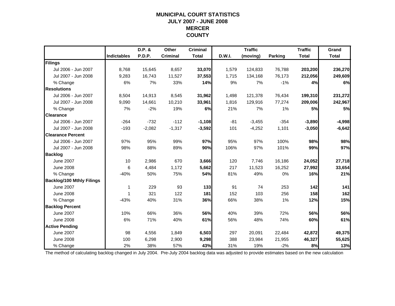### **MUNICIPAL COURT STATISTICSJULY 2007 - JUNE 2008 MERCER COUNTY**

|                                  |                    | D.P. &        | Other           | <b>Criminal</b> |        | <b>Traffic</b> |                | <b>Traffic</b> | Grand        |
|----------------------------------|--------------------|---------------|-----------------|-----------------|--------|----------------|----------------|----------------|--------------|
|                                  | <b>Indictables</b> | <b>P.D.P.</b> | <b>Criminal</b> | <b>Total</b>    | D.W.I. | (moving)       | <b>Parking</b> | <b>Total</b>   | <b>Total</b> |
| Filings                          |                    |               |                 |                 |        |                |                |                |              |
| Jul 2006 - Jun 2007              | 8,768              | 15,645        | 8,657           | 33,070          | 1,579  | 124,833        | 76,788         | 203,200        | 236,270      |
| Jul 2007 - Jun 2008              | 9,283              | 16,743        | 11,527          | 37,553          | 1,715  | 134,168        | 76,173         | 212,056        | 249,609      |
| % Change                         | 6%                 | 7%            | 33%             | 14%             | 9%     | 7%             | $-1%$          | 4%             | 6%           |
| <b>Resolutions</b>               |                    |               |                 |                 |        |                |                |                |              |
| Jul 2006 - Jun 2007              | 8,504              | 14,913        | 8,545           | 31,962          | 1,498  | 121,378        | 76,434         | 199,310        | 231,272      |
| Jul 2007 - Jun 2008              | 9,090              | 14,661        | 10,210          | 33,961          | 1,816  | 129,916        | 77,274         | 209,006        | 242,967      |
| % Change                         | 7%                 | $-2%$         | 19%             | 6%              | 21%    | 7%             | 1%             | 5%             | 5%           |
| <b>Clearance</b>                 |                    |               |                 |                 |        |                |                |                |              |
| Jul 2006 - Jun 2007              | $-264$             | $-732$        | $-112$          | $-1,108$        | $-81$  | $-3,455$       | $-354$         | $-3,890$       | $-4,998$     |
| Jul 2007 - Jun 2008              | $-193$             | $-2,082$      | $-1,317$        | $-3,592$        | 101    | $-4,252$       | 1,101          | $-3,050$       | $-6,642$     |
| <b>Clearance Percent</b>         |                    |               |                 |                 |        |                |                |                |              |
| Jul 2006 - Jun 2007              | 97%                | 95%           | 99%             | 97%             | 95%    | 97%            | 100%           | 98%            | 98%          |
| Jul 2007 - Jun 2008              | 98%                | 88%           | 89%             | 90%             | 106%   | 97%            | 101%           | 99%            | 97%          |
| <b>Backlog</b>                   |                    |               |                 |                 |        |                |                |                |              |
| <b>June 2007</b>                 | 10                 | 2,986         | 670             | 3,666           | 120    | 7,746          | 16,186         | 24,052         | 27,718       |
| <b>June 2008</b>                 | 6                  | 4,484         | 1,172           | 5,662           | 217    | 11,523         | 16,252         | 27,992         | 33,654       |
| % Change                         | $-40%$             | 50%           | 75%             | 54%             | 81%    | 49%            | 0%             | 16%            | 21%          |
| <b>Backlog/100 Mthly Filings</b> |                    |               |                 |                 |        |                |                |                |              |
| <b>June 2007</b>                 | 1                  | 229           | 93              | 133             | 91     | 74             | 253            | 142            | 141          |
| <b>June 2008</b>                 | 1                  | 321           | 122             | 181             | 152    | 103            | 256            | 158            | 162          |
| % Change                         | $-43%$             | 40%           | 31%             | 36%             | 66%    | 38%            | 1%             | 12%            | 15%          |
| <b>Backlog Percent</b>           |                    |               |                 |                 |        |                |                |                |              |
| <b>June 2007</b>                 | 10%                | 66%           | 36%             | 56%             | 40%    | 39%            | 72%            | 56%            | 56%          |
| <b>June 2008</b>                 | 6%                 | 71%           | 40%             | 61%             | 56%    | 48%            | 74%            | 60%            | 61%          |
| <b>Active Pending</b>            |                    |               |                 |                 |        |                |                |                |              |
| <b>June 2007</b>                 | 98                 | 4,556         | 1,849           | 6,503           | 297    | 20,091         | 22,484         | 42,872         | 49,375       |
| <b>June 2008</b>                 | 100                | 6,298         | 2,900           | 9,298           | 388    | 23,984         | 21,955         | 46,327         | 55,625       |
| % Change                         | 2%                 | 38%           | 57%             | 43%             | 31%    | 19%            | $-2%$          | 8%             | 13%          |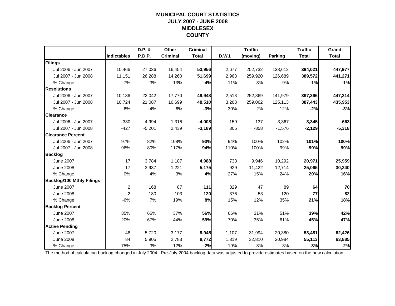### **MUNICIPAL COURT STATISTICSJULY 2007 - JUNE 2008 MIDDLESEX COUNTY**

|                                  |                    | D.P. &   | Other           | <b>Criminal</b> |        | <b>Traffic</b> |                | <b>Traffic</b> | Grand        |
|----------------------------------|--------------------|----------|-----------------|-----------------|--------|----------------|----------------|----------------|--------------|
|                                  | <b>Indictables</b> | P.D.P.   | <b>Criminal</b> | <b>Total</b>    | D.W.I. | (moving)       | <b>Parking</b> | <b>Total</b>   | <b>Total</b> |
| Filings                          |                    |          |                 |                 |        |                |                |                |              |
| Jul 2006 - Jun 2007              | 10,466             | 27,036   | 16,454          | 53,956          | 2,677  | 252,732        | 138,612        | 394,021        | 447,977      |
| Jul 2007 - Jun 2008              | 11,151             | 26,288   | 14,260          | 51,699          | 2,963  | 259,920        | 126,689        | 389,572        | 441,271      |
| % Change                         | 7%                 | $-3%$    | $-13%$          | $-4%$           | 11%    | 3%             | $-9%$          | $-1%$          | $-1%$        |
| <b>Resolutions</b>               |                    |          |                 |                 |        |                |                |                |              |
| Jul 2006 - Jun 2007              | 10,136             | 22,042   | 17,770          | 49,948          | 2,518  | 252,869        | 141,979        | 397,366        | 447,314      |
| Jul 2007 - Jun 2008              | 10.724             | 21,087   | 16,699          | 48,510          | 3,268  | 259,062        | 125,113        | 387,443        | 435,953      |
| % Change                         | 6%                 | $-4%$    | $-6%$           | $-3%$           | 30%    | 2%             | $-12%$         | $-2%$          | $-3%$        |
| <b>Clearance</b>                 |                    |          |                 |                 |        |                |                |                |              |
| Jul 2006 - Jun 2007              | $-330$             | $-4,994$ | 1,316           | $-4,008$        | $-159$ | 137            | 3,367          | 3,345          | $-663$       |
| Jul 2007 - Jun 2008              | $-427$             | $-5,201$ | 2,439           | $-3,189$        | 305    | $-858$         | $-1,576$       | $-2,129$       | $-5,318$     |
| <b>Clearance Percent</b>         |                    |          |                 |                 |        |                |                |                |              |
| Jul 2006 - Jun 2007              | 97%                | 82%      | 108%            | 93%             | 94%    | 100%           | 102%           | 101%           | 100%         |
| Jul 2007 - Jun 2008              | 96%                | 80%      | 117%            | 94%             | 110%   | 100%           | 99%            | 99%            | 99%          |
| <b>Backlog</b>                   |                    |          |                 |                 |        |                |                |                |              |
| <b>June 2007</b>                 | 17                 | 3,784    | 1,187           | 4,988           | 733    | 9,946          | 10,292         | 20,971         | 25,959       |
| <b>June 2008</b>                 | 17                 | 3,937    | 1,221           | 5,175           | 929    | 11,422         | 12,714         | 25,065         | 30,240       |
| % Change                         | 0%                 | 4%       | 3%              | 4%              | 27%    | 15%            | 24%            | 20%            | 16%          |
| <b>Backlog/100 Mthly Filings</b> |                    |          |                 |                 |        |                |                |                |              |
| <b>June 2007</b>                 | $\overline{c}$     | 168      | 87              | $111$           | 329    | 47             | 89             | 64             | 70           |
| <b>June 2008</b>                 | $\overline{c}$     | 180      | 103             | 120             | 376    | 53             | 120            | 77             | 82           |
| % Change                         | $-6%$              | 7%       | 19%             | 8%              | 15%    | 12%            | 35%            | 21%            | 18%          |
| <b>Backlog Percent</b>           |                    |          |                 |                 |        |                |                |                |              |
| <b>June 2007</b>                 | 35%                | 66%      | 37%             | 56%             | 66%    | 31%            | 51%            | 39%            | 42%          |
| <b>June 2008</b>                 | 20%                | 67%      | 44%             | 59%             | 70%    | 35%            | 61%            | 45%            | 47%          |
| <b>Active Pending</b>            |                    |          |                 |                 |        |                |                |                |              |
| <b>June 2007</b>                 | 48                 | 5,720    | 3,177           | 8,945           | 1.107  | 31,994         | 20,380         | 53,481         | 62,426       |
| <b>June 2008</b>                 | 84                 | 5,905    | 2,783           | 8,772           | 1,319  | 32,810         | 20,984         | 55,113         | 63,885       |
| % Change                         | 75%                | 3%       | $-12%$          | $-2%$           | 19%    | 3%             | 3%             | 3%             | 2%           |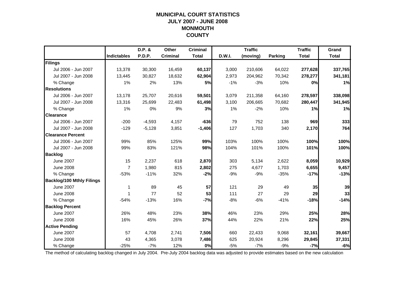### **MUNICIPAL COURT STATISTICSJULY 2007 - JUNE 2008 MONMOUTH COUNTY**

|                                  |                    | D.P. &   | Other           | <b>Criminal</b> |        | <b>Traffic</b> |                | <b>Traffic</b> | Grand        |
|----------------------------------|--------------------|----------|-----------------|-----------------|--------|----------------|----------------|----------------|--------------|
|                                  | <b>Indictables</b> | P.D.P.   | <b>Criminal</b> | <b>Total</b>    | D.W.I. | (moving)       | <b>Parking</b> | <b>Total</b>   | <b>Total</b> |
| Filings                          |                    |          |                 |                 |        |                |                |                |              |
| Jul 2006 - Jun 2007              | 13,378             | 30,300   | 16,459          | 60,137          | 3,000  | 210,606        | 64,022         | 277,628        | 337,765      |
| Jul 2007 - Jun 2008              | 13,445             | 30.827   | 18,632          | 62,904          | 2,973  | 204,962        | 70,342         | 278,277        | 341,181      |
| % Change                         | 1%                 | 2%       | 13%             | 5%              | $-1%$  | $-3%$          | 10%            | 0%             | 1%           |
| <b>Resolutions</b>               |                    |          |                 |                 |        |                |                |                |              |
| Jul 2006 - Jun 2007              | 13,178             | 25,707   | 20,616          | 59,501          | 3,079  | 211,358        | 64,160         | 278,597        | 338,098      |
| Jul 2007 - Jun 2008              | 13,316             | 25,699   | 22,483          | 61,498          | 3,100  | 206,665        | 70,682         | 280,447        | 341,945      |
| % Change                         | 1%                 | 0%       | 9%              | 3%              | 1%     | $-2%$          | 10%            | 1%             | 1%           |
| <b>Clearance</b>                 |                    |          |                 |                 |        |                |                |                |              |
| Jul 2006 - Jun 2007              | $-200$             | $-4,593$ | 4,157           | $-636$          | 79     | 752            | 138            | 969            | 333          |
| Jul 2007 - Jun 2008              | $-129$             | $-5,128$ | 3,851           | $-1,406$        | 127    | 1,703          | 340            | 2,170          | 764          |
| <b>Clearance Percent</b>         |                    |          |                 |                 |        |                |                |                |              |
| Jul 2006 - Jun 2007              | 99%                | 85%      | 125%            | 99%             | 103%   | 100%           | 100%           | 100%           | 100%         |
| Jul 2007 - Jun 2008              | 99%                | 83%      | 121%            | 98%             | 104%   | 101%           | 100%           | 101%           | 100%         |
| <b>Backlog</b>                   |                    |          |                 |                 |        |                |                |                |              |
| <b>June 2007</b>                 | 15                 | 2,237    | 618             | 2,870           | 303    | 5,134          | 2,622          | 8,059          | 10,929       |
| <b>June 2008</b>                 | $\overline{7}$     | 1,980    | 815             | 2,802           | 275    | 4,677          | 1,703          | 6,655          | 9,457        |
| % Change                         | $-53%$             | $-11%$   | 32%             | $-2%$           | $-9%$  | $-9%$          | $-35%$         | $-17%$         | $-13%$       |
| <b>Backlog/100 Mthly Filings</b> |                    |          |                 |                 |        |                |                |                |              |
| <b>June 2007</b>                 | 1                  | 89       | 45              | 57              | 121    | 29             | 49             | 35             | 39           |
| <b>June 2008</b>                 | 1                  | 77       | 52              | 53              | 111    | 27             | 29             | 29             | 33           |
| % Change                         | $-54%$             | $-13%$   | 16%             | $-7%$           | $-8%$  | $-6%$          | $-41%$         | $-18%$         | $-14%$       |
| <b>Backlog Percent</b>           |                    |          |                 |                 |        |                |                |                |              |
| <b>June 2007</b>                 | 26%                | 48%      | 23%             | 38%             | 46%    | 23%            | 29%            | 25%            | 28%          |
| <b>June 2008</b>                 | 16%                | 45%      | 26%             | 37%             | 44%    | 22%            | 21%            | 22%            | 25%          |
| <b>Active Pending</b>            |                    |          |                 |                 |        |                |                |                |              |
| <b>June 2007</b>                 | 57                 | 4,708    | 2,741           | 7,506           | 660    | 22,433         | 9,068          | 32,161         | 39,667       |
| <b>June 2008</b>                 | 43                 | 4,365    | 3,078           | 7,486           | 625    | 20,924         | 8,296          | 29,845         | 37,331       |
| % Change                         | $-25%$             | $-7%$    | 12%             | 0%              | $-5%$  | $-7%$          | $-9%$          | $-7%$          | $-6%$        |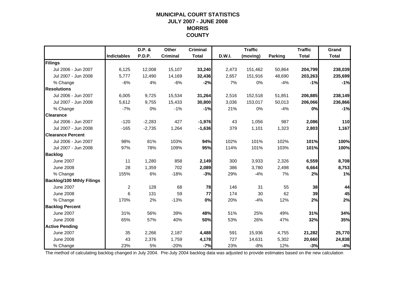### **MUNICIPAL COURT STATISTICSJULY 2007 - JUNE 2008 MORRIS COUNTY**

|                                  |                    | D.P. &   | Other           | <b>Criminal</b> |        | <b>Traffic</b> |                | <b>Traffic</b> | Grand        |
|----------------------------------|--------------------|----------|-----------------|-----------------|--------|----------------|----------------|----------------|--------------|
|                                  | <b>Indictables</b> | P.D.P.   | <b>Criminal</b> | <b>Total</b>    | D.W.I. | (moving)       | <b>Parking</b> | <b>Total</b>   | <b>Total</b> |
| Filings                          |                    |          |                 |                 |        |                |                |                |              |
| Jul 2006 - Jun 2007              | 6,125              | 12,008   | 15,107          | 33,240          | 2,473  | 151,462        | 50,864         | 204,799        | 238,039      |
| Jul 2007 - Jun 2008              | 5,777              | 12,490   | 14,169          | 32,436          | 2,657  | 151,916        | 48,690         | 203,263        | 235,699      |
| % Change                         | $-6%$              | 4%       | $-6%$           | $-2%$           | 7%     | 0%             | $-4%$          | $-1%$          | $-1%$        |
| <b>Resolutions</b>               |                    |          |                 |                 |        |                |                |                |              |
| Jul 2006 - Jun 2007              | 6,005              | 9,725    | 15,534          | 31,264          | 2,516  | 152,518        | 51,851         | 206,885        | 238,149      |
| Jul 2007 - Jun 2008              | 5,612              | 9,755    | 15,433          | 30,800          | 3,036  | 153,017        | 50,013         | 206,066        | 236,866      |
| % Change                         | $-7%$              | 0%       | $-1%$           | $-1%$           | 21%    | 0%             | $-4%$          | 0%             | $-1%$        |
| <b>Clearance</b>                 |                    |          |                 |                 |        |                |                |                |              |
| Jul 2006 - Jun 2007              | $-120$             | $-2,283$ | 427             | $-1,976$        | 43     | 1,056          | 987            | 2,086          | 110          |
| Jul 2007 - Jun 2008              | $-165$             | $-2,735$ | 1,264           | $-1,636$        | 379    | 1,101          | 1,323          | 2,803          | 1,167        |
| <b>Clearance Percent</b>         |                    |          |                 |                 |        |                |                |                |              |
| Jul 2006 - Jun 2007              | 98%                | 81%      | 103%            | 94%             | 102%   | 101%           | 102%           | 101%           | 100%         |
| Jul 2007 - Jun 2008              | 97%                | 78%      | 109%            | 95%             | 114%   | 101%           | 103%           | 101%           | 100%         |
| <b>Backlog</b>                   |                    |          |                 |                 |        |                |                |                |              |
| <b>June 2007</b>                 | 11                 | 1,280    | 858             | 2,149           | 300    | 3,933          | 2,326          | 6,559          | 8,708        |
| <b>June 2008</b>                 | 28                 | 1,359    | 702             | 2,089           | 386    | 3,780          | 2,498          | 6,664          | 8,753        |
| % Change                         | 155%               | 6%       | $-18%$          | $-3%$           | 29%    | $-4%$          | 7%             | 2%             | 1%           |
| <b>Backlog/100 Mthly Filings</b> |                    |          |                 |                 |        |                |                |                |              |
| <b>June 2007</b>                 | $\overline{c}$     | 128      | 68              | 78              | 146    | 31             | 55             | 38             | 44           |
| <b>June 2008</b>                 | 6                  | 131      | 59              | 77              | 174    | 30             | 62             | 39             | 45           |
| % Change                         | 170%               | 2%       | $-13%$          | 0%              | 20%    | $-4%$          | 12%            | 2%             | 2%           |
| <b>Backlog Percent</b>           |                    |          |                 |                 |        |                |                |                |              |
| <b>June 2007</b>                 | 31%                | 56%      | 39%             | 48%             | 51%    | 25%            | 49%            | 31%            | 34%          |
| <b>June 2008</b>                 | 65%                | 57%      | 40%             | 50%             | 53%    | 26%            | 47%            | 32%            | 35%          |
| <b>Active Pending</b>            |                    |          |                 |                 |        |                |                |                |              |
| <b>June 2007</b>                 | 35                 | 2,266    | 2,187           | 4,488           | 591    | 15,936         | 4,755          | 21,282         | 25,770       |
| <b>June 2008</b>                 | 43                 | 2,376    | 1,759           | 4,178           | 727    | 14,631         | 5,302          | 20,660         | 24,838       |
| % Change                         | 23%                | 5%       | $-20%$          | $-7%$           | 23%    | $-8%$          | 12%            | $-3%$          | $-4%$        |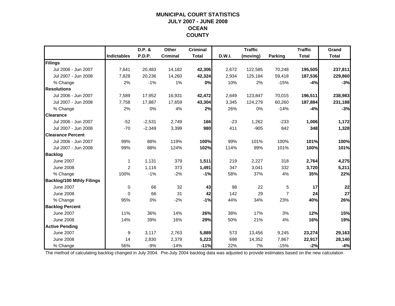### **MUNICIPAL COURT STATISTICSJULY 2007 - JUNE 2008 OCEAN COUNTY**

|                                  |                    | D.P. &   | Other           | <b>Criminal</b> |        | <b>Traffic</b> |                | <b>Traffic</b> | Grand        |
|----------------------------------|--------------------|----------|-----------------|-----------------|--------|----------------|----------------|----------------|--------------|
|                                  | <b>Indictables</b> | P.D.P.   | <b>Criminal</b> | <b>Total</b>    | D.W.I. | (moving)       | <b>Parking</b> | <b>Total</b>   | <b>Total</b> |
| Filings                          |                    |          |                 |                 |        |                |                |                |              |
| Jul 2006 - Jun 2007              | 7,641              | 20,483   | 14,182          | 42,306          | 2,672  | 122,585        | 70,248         | 195,505        | 237,811      |
| Jul 2007 - Jun 2008              | 7,828              | 20,236   | 14,260          | 42,324          | 2,934  | 125,184        | 59,418         | 187,536        | 229,860      |
| % Change                         | 2%                 | $-1%$    | 1%              | 0%              | 10%    | 2%             | $-15%$         | $-4%$          | $-3%$        |
| <b>Resolutions</b>               |                    |          |                 |                 |        |                |                |                |              |
| Jul 2006 - Jun 2007              | 7,589              | 17,952   | 16,931          | 42,472          | 2,649  | 123,847        | 70,015         | 196,511        | 238,983      |
| Jul 2007 - Jun 2008              | 7.758              | 17.887   | 17,659          | 43,304          | 3,345  | 124,279        | 60,260         | 187,884        | 231,188      |
| % Change                         | 2%                 | 0%       | 4%              | 2%              | 26%    | 0%             | $-14%$         | $-4%$          | $-3%$        |
| <b>Clearance</b>                 |                    |          |                 |                 |        |                |                |                |              |
| Jul 2006 - Jun 2007              | $-52$              | $-2,531$ | 2,749           | <b>166</b>      | $-23$  | 1,262          | $-233$         | 1,006          | 1,172        |
| Jul 2007 - Jun 2008              | $-70$              | $-2,349$ | 3,399           | 980             | 411    | $-905$         | 842            | 348            | 1,328        |
| <b>Clearance Percent</b>         |                    |          |                 |                 |        |                |                |                |              |
| Jul 2006 - Jun 2007              | 99%                | 88%      | 119%            | 100%            | 99%    | 101%           | 100%           | 101%           | 100%         |
| Jul 2007 - Jun 2008              | 99%                | 88%      | 124%            | 102%            | 114%   | 99%            | 101%           | 100%           | 101%         |
| <b>Backlog</b>                   |                    |          |                 |                 |        |                |                |                |              |
| <b>June 2007</b>                 | $\mathbf 1$        | 1,131    | 379             | 1,511           | 219    | 2,227          | 318            | 2,764          | 4,275        |
| <b>June 2008</b>                 | $\overline{2}$     | 1,116    | 373             | 1,491           | 347    | 3,041          | 332            | 3,720          | 5,211        |
| % Change                         | 100%               | $-1%$    | $-2%$           | $-1%$           | 58%    | 37%            | 4%             | 35%            | 22%          |
| <b>Backlog/100 Mthly Filings</b> |                    |          |                 |                 |        |                |                |                |              |
| <b>June 2007</b>                 | $\mathbf 0$        | 66       | 32              | 43              | 98     | 22             | 5              | 17             | 22           |
| <b>June 2008</b>                 | $\mathbf{0}$       | 66       | 31              | 42              | 142    | 29             | $\overline{7}$ | 24             | 27           |
| % Change                         | 95%                | 0%       | $-2%$           | $-1%$           | 44%    | 34%            | 23%            | 40%            | 26%          |
| <b>Backlog Percent</b>           |                    |          |                 |                 |        |                |                |                |              |
| <b>June 2007</b>                 | 11%                | 36%      | 14%             | 26%             | 38%    | 17%            | 3%             | 12%            | 15%          |
| <b>June 2008</b>                 | 14%                | 39%      | 16%             | 29%             | 50%    | 21%            | 4%             | 16%            | 19%          |
| <b>Active Pending</b>            |                    |          |                 |                 |        |                |                |                |              |
| <b>June 2007</b>                 | 9                  | 3,117    | 2,763           | 5,889           | 573    | 13,456         | 9,245          | 23,274         | 29,163       |
| <b>June 2008</b>                 | 14                 | 2,830    | 2,379           | 5,223           | 698    | 14,352         | 7,867          | 22,917         | 28,140       |
| % Change                         | 56%                | $-9%$    | $-14%$          | $-11%$          | 22%    | 7%             | $-15%$         | $-2%$          | $-4%$        |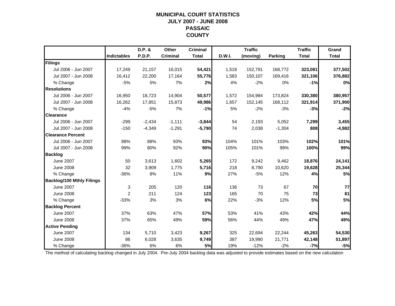### **MUNICIPAL COURT STATISTICSJULY 2007 - JUNE 2008 PASSAIC COUNTY**

|                                  |             | $D.P.$ & | Other           | <b>Criminal</b> |               | <b>Traffic</b> |                | <b>Traffic</b> | Grand        |
|----------------------------------|-------------|----------|-----------------|-----------------|---------------|----------------|----------------|----------------|--------------|
|                                  | Indictables | P.D.P.   | <b>Criminal</b> | <b>Total</b>    | <b>D.W.I.</b> | (moving)       | <b>Parking</b> | <b>Total</b>   | <b>Total</b> |
| Filings                          |             |          |                 |                 |               |                |                |                |              |
| Jul 2006 - Jun 2007              | 17,249      | 21,157   | 16,015          | 54,421          | 1,518         | 152,791        | 168,772        | 323,081        | 377,502      |
| Jul 2007 - Jun 2008              | 16,412      | 22,200   | 17,164          | 55,776          | 1,583         | 150,107        | 169,416        | 321,106        | 376,882      |
| % Change                         | $-5%$       | 5%       | 7%              | 2%              | 4%            | $-2%$          | 0%             | $-1%$          | 0%           |
| <b>Resolutions</b>               |             |          |                 |                 |               |                |                |                |              |
| Jul 2006 - Jun 2007              | 16,950      | 18,723   | 14,904          | 50,577          | 1,572         | 154,984        | 173,824        | 330,380        | 380,957      |
| Jul 2007 - Jun 2008              | 16,262      | 17,851   | 15,873          | 49,986          | 1,657         | 152,145        | 168,112        | 321,914        | 371,900      |
| % Change                         | $-4%$       | $-5%$    | 7%              | $-1%$           | 5%            | $-2%$          | $-3%$          | $-3%$          | $-2%$        |
| <b>Clearance</b>                 |             |          |                 |                 |               |                |                |                |              |
| Jul 2006 - Jun 2007              | $-299$      | $-2,434$ | $-1,111$        | $-3,844$        | 54            | 2,193          | 5,052          | 7,299          | 3,455        |
| Jul 2007 - Jun 2008              | $-150$      | $-4,349$ | $-1,291$        | $-5,790$        | 74            | 2,038          | $-1,304$       | 808            | $-4,982$     |
| <b>Clearance Percent</b>         |             |          |                 |                 |               |                |                |                |              |
| Jul 2006 - Jun 2007              | 98%         | 88%      | 93%             | 93%             | 104%          | 101%           | 103%           | 102%           | 101%         |
| Jul 2007 - Jun 2008              | 99%         | 80%      | 92%             | 90%             | 105%          | 101%           | 99%            | 100%           | 99%          |
| <b>Backlog</b>                   |             |          |                 |                 |               |                |                |                |              |
| <b>June 2007</b>                 | 50          | 3,613    | 1,602           | 5,265           | 172           | 9,242          | 9,462          | 18,876         | 24,141       |
| <b>June 2008</b>                 | 32          | 3,909    | 1,775           | 5,716           | 218           | 8,790          | 10,620         | 19,628         | 25,344       |
| % Change                         | $-36%$      | 8%       | 11%             | 9%              | 27%           | $-5%$          | 12%            | 4%             | 5%           |
| <b>Backlog/100 Mthly Filings</b> |             |          |                 |                 |               |                |                |                |              |
| <b>June 2007</b>                 | 3           | 205      | 120             | 116             | 136           | 73             | 67             | 70             | 77           |
| <b>June 2008</b>                 | 2           | 211      | 124             | 123             | 165           | 70             | 75             | 73             | 81           |
| % Change                         | $-33%$      | 3%       | 3%              | 6%              | 22%           | $-3%$          | 12%            | <b>5%</b>      | 5%           |
| <b>Backlog Percent</b>           |             |          |                 |                 |               |                |                |                |              |
| <b>June 2007</b>                 | 37%         | 63%      | 47%             | 57%             | 53%           | 41%            | 43%            | 42%            | 44%          |
| <b>June 2008</b>                 | 37%         | 65%      | 49%             | 59%             | 56%           | 44%            | 49%            | 47%            | 49%          |
| <b>Active Pending</b>            |             |          |                 |                 |               |                |                |                |              |
| <b>June 2007</b>                 | 134         | 5,710    | 3,423           | 9,267           | 325           | 22,694         | 22,244         | 45,263         | 54,530       |
| <b>June 2008</b>                 | 86          | 6,028    | 3,635           | 9,749           | 387           | 19,990         | 21,771         | 42,148         | 51,897       |
| % Change                         | $-36%$      | 6%       | 6%              | 5%              | 19%           | $-12%$         | $-2%$          | $-7%$          | $-5%$        |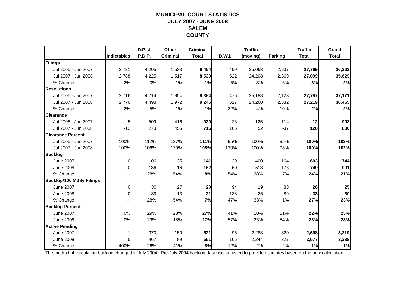### **MUNICIPAL COURT STATISTICSJULY 2007 - JUNE 2008 SALEMCOUNTY**

|                                  |             | D.P. & | Other           | <b>Criminal</b> |               | <b>Traffic</b> |         | <b>Traffic</b> | Grand        |
|----------------------------------|-------------|--------|-----------------|-----------------|---------------|----------------|---------|----------------|--------------|
|                                  | Indictables | P.D.P. | <b>Criminal</b> | <b>Total</b>    | <b>D.W.I.</b> | (moving)       | Parking | <b>Total</b>   | <b>Total</b> |
| Filings                          |             |        |                 |                 |               |                |         |                |              |
| Jul 2006 - Jun 2007              | 2,721       | 4,205  | 1,538           | 8,464           | 499           | 25,063         | 2,237   | 27,799         | 36,263       |
| Jul 2007 - Jun 2008              | 2,788       | 4,225  | 1,517           | 8,530           | 522           | 24,208         | 2,369   | 27,099         | 35,629       |
| % Change                         | 2%          | 0%     | $-1%$           | 1%              | 5%            | $-3%$          | 6%      | $-3%$          | $-2%$        |
| <b>Resolutions</b>               |             |        |                 |                 |               |                |         |                |              |
| Jul 2006 - Jun 2007              | 2,716       | 4,714  | 1,954           | 9,384           | 476           | 25,188         | 2,123   | 27,787         | 37,171       |
| Jul 2007 - Jun 2008              | 2,776       | 4,498  | 1,972           | 9,246           | 627           | 24,260         | 2,332   | 27,219         | 36,465       |
| % Change                         | 2%          | $-5%$  | 1%              | $-1%$           | 32%           | $-4%$          | 10%     | $-2%$          | $-2%$        |
| <b>Clearance</b>                 |             |        |                 |                 |               |                |         |                |              |
| Jul 2006 - Jun 2007              | $-5$        | 509    | 416             | 920             | $-23$         | 125            | $-114$  | $-12$          | 908          |
| Jul 2007 - Jun 2008              | $-12$       | 273    | 455             | 716             | 105           | 52             | $-37$   | 120            | 836          |
| <b>Clearance Percent</b>         |             |        |                 |                 |               |                |         |                |              |
| Jul 2006 - Jun 2007              | 100%        | 112%   | 127%            | 111%            | 95%           | 100%           | 95%     | 100%           | 103%         |
| Jul 2007 - Jun 2008              | 100%        | 106%   | 130%            | 108%            | 120%          | 100%           | 98%     | 100%           | 102%         |
| <b>Backlog</b>                   |             |        |                 |                 |               |                |         |                |              |
| <b>June 2007</b>                 | $\mathbf 0$ | 106    | 35              | 141             | 39            | 400            | 164     | 603            | 744          |
| <b>June 2008</b>                 | 0           | 136    | 16              | 152             | 60            | 513            | 176     | 749            | 901          |
| % Change                         |             | 28%    | $-54%$          | 8%              | 54%           | 28%            | 7%      | 24%            | 21%          |
| <b>Backlog/100 Mthly Filings</b> |             |        |                 |                 |               |                |         |                |              |
| <b>June 2007</b>                 | 0           | 30     | 27              | 20              | 94            | 19             | 88      | 26             | 25           |
| <b>June 2008</b>                 | $\Omega$    | 39     | 13              | 21              | 138           | 25             | 89      | 33             | 30           |
| % Change                         |             | 28%    | $-54%$          | 7%              | 47%           | 33%            | 1%      | 27%            | 23%          |
| <b>Backlog Percent</b>           |             |        |                 |                 |               |                |         |                |              |
| <b>June 2007</b>                 | 0%          | 29%    | 23%             | 27%             | 41%           | 18%            | 51%     | 22%            | 23%          |
| <b>June 2008</b>                 | 0%          | 29%    | 18%             | 27%             | 57%           | 23%            | 54%     | 28%            | 28%          |
| <b>Active Pending</b>            |             |        |                 |                 |               |                |         |                |              |
| <b>June 2007</b>                 | 1           | 370    | 150             | 521             | 95            | 2,283          | 320     | 2,698          | 3,219        |
| <b>June 2008</b>                 | 5           | 467    | 89              | 561             | 106           | 2,244          | 327     | 2,677          | 3,238        |
| % Change                         | 400%        | 26%    | $-41%$          | 8%              | 12%           | $-2%$          | 2%      | $-1%$          | 1%           |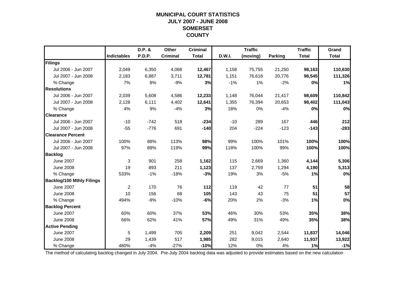### **MUNICIPAL COURT STATISTICSJULY 2007 - JUNE 2008 SOMERSET COUNTY**

|                                  |                    | D.P. &        | Other           | <b>Criminal</b> |        | <b>Traffic</b> |                | <b>Traffic</b> | Grand        |
|----------------------------------|--------------------|---------------|-----------------|-----------------|--------|----------------|----------------|----------------|--------------|
|                                  | <b>Indictables</b> | <b>P.D.P.</b> | <b>Criminal</b> | <b>Total</b>    | D.W.I. | (moving)       | <b>Parking</b> | <b>Total</b>   | <b>Total</b> |
| Filings                          |                    |               |                 |                 |        |                |                |                |              |
| Jul 2006 - Jun 2007              | 2,049              | 6,350         | 4,068           | 12,467          | 1,158  | 75,755         | 21,250         | 98,163         | 110,630      |
| Jul 2007 - Jun 2008              | 2,183              | 6,887         | 3,711           | 12,781          | 1,151  | 76,618         | 20,776         | 98,545         | 111,326      |
| % Change                         | 7%                 | 8%            | $-9%$           | 3%              | $-1%$  | 1%             | $-2%$          | 0%             | 1%           |
| <b>Resolutions</b>               |                    |               |                 |                 |        |                |                |                |              |
| Jul 2006 - Jun 2007              | 2,039              | 5,608         | 4,586           | 12,233          | 1,148  | 76,044         | 21,417         | 98,609         | 110,842      |
| Jul 2007 - Jun 2008              | 2,128              | 6,111         | 4,402           | 12,641          | 1,355  | 76,394         | 20,653         | 98,402         | 111,043      |
| % Change                         | 4%                 | 9%            | $-4%$           | 3%              | 18%    | 0%             | $-4%$          | 0%             | 0%           |
| <b>Clearance</b>                 |                    |               |                 |                 |        |                |                |                |              |
| Jul 2006 - Jun 2007              | $-10$              | $-742$        | 518             | $-234$          | $-10$  | 289            | 167            | 446            | 212          |
| Jul 2007 - Jun 2008              | $-55$              | $-776$        | 691             | $-140$          | 204    | $-224$         | $-123$         | $-143$         | $-283$       |
| <b>Clearance Percent</b>         |                    |               |                 |                 |        |                |                |                |              |
| Jul 2006 - Jun 2007              | 100%               | 88%           | 113%            | 98%             | 99%    | 100%           | 101%           | 100%           | 100%         |
| Jul 2007 - Jun 2008              | 97%                | 89%           | 119%            | 99%             | 118%   | 100%           | 99%            | 100%           | 100%         |
| <b>Backlog</b>                   |                    |               |                 |                 |        |                |                |                |              |
| <b>June 2007</b>                 | 3                  | 901           | 258             | 1,162           | 115    | 2,669          | 1,360          | 4,144          | 5,306        |
| <b>June 2008</b>                 | 19                 | 893           | 211             | 1,123           | 137    | 2,759          | 1,294          | 4,190          | 5,313        |
| % Change                         | 533%               | $-1%$         | $-18%$          | $-3%$           | 19%    | 3%             | $-5%$          | 1%             | 0%           |
| <b>Backlog/100 Mthly Filings</b> |                    |               |                 |                 |        |                |                |                |              |
| <b>June 2007</b>                 | $\overline{c}$     | 170           | 76              | $112$           | 119    | 42             | 77             | 51             | 58           |
| <b>June 2008</b>                 | 10                 | 156           | 68              | 105             | 143    | 43             | 75             | 51             | 57           |
| % Change                         | 494%               | $-9%$         | $-10%$          | $-6%$           | 20%    | 2%             | $-3%$          | 1%             | 0%           |
| <b>Backlog Percent</b>           |                    |               |                 |                 |        |                |                |                |              |
| <b>June 2007</b>                 | 60%                | 60%           | 37%             | 53%             | 46%    | 30%            | 53%            | 35%            | 38%          |
| <b>June 2008</b>                 | 66%                | 62%           | 41%             | 57%             | 49%    | 31%            | 49%            | 35%            | 38%          |
| <b>Active Pending</b>            |                    |               |                 |                 |        |                |                |                |              |
| <b>June 2007</b>                 | 5                  | 1,499         | 705             | 2,209           | 251    | 9,042          | 2,544          | 11,837         | 14,046       |
| <b>June 2008</b>                 | 29                 | 1,439         | 517             | 1,985           | 282    | 9,015          | 2,640          | 11,937         | 13,922       |
| % Change                         | 480%               | $-4%$         | $-27%$          | $-10%$          | 12%    | 0%             | 4%             | 1%             | $-1%$        |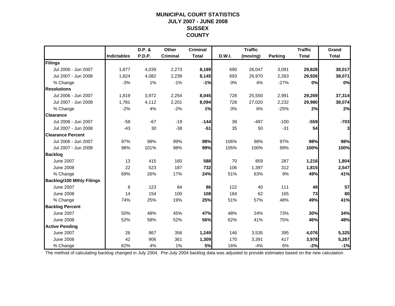### **MUNICIPAL COURT STATISTICSJULY 2007 - JUNE 2008 SUSSEX COUNTY**

|                                  |                    | D.P. & | Other           | <b>Criminal</b> |        | <b>Traffic</b> |         | <b>Traffic</b> | Grand        |
|----------------------------------|--------------------|--------|-----------------|-----------------|--------|----------------|---------|----------------|--------------|
|                                  | <b>Indictables</b> | P.D.P. | <b>Criminal</b> | <b>Total</b>    | D.W.I. | (moving)       | Parking | <b>Total</b>   | <b>Total</b> |
| Filings                          |                    |        |                 |                 |        |                |         |                |              |
| Jul 2006 - Jun 2007              | 1,877              | 4,039  | 2,273           | 8,189           | 690    | 26,047         | 3,091   | 29,828         | 38,017       |
| Jul 2007 - Jun 2008              | 1,824              | 4,082  | 2,239           | 8,145           | 693    | 26,970         | 2,263   | 29,926         | 38,071       |
| % Change                         | $-3%$              | 1%     | $-1%$           | $-1%$           | 0%     | 4%             | $-27%$  | 0%             | 0%           |
| <b>Resolutions</b>               |                    |        |                 |                 |        |                |         |                |              |
| Jul 2006 - Jun 2007              | 1,819              | 3,972  | 2,254           | 8,045           | 728    | 25,550         | 2,991   | 29,269         | 37,314       |
| Jul 2007 - Jun 2008              | 1.781              | 4,112  | 2,201           | 8,094           | 728    | 27,020         | 2,232   | 29,980         | 38,074       |
| % Change                         | $-2%$              | 4%     | $-2%$           | 1%              | 0%     | 6%             | $-25%$  | 2%             | 2%           |
| <b>Clearance</b>                 |                    |        |                 |                 |        |                |         |                |              |
| Jul 2006 - Jun 2007              | $-58$              | $-67$  | $-19$           | $-144$          | 38     | $-497$         | $-100$  | $-559$         | $-703$       |
| Jul 2007 - Jun 2008              | $-43$              | 30     | $-38$           | $-51$           | 35     | 50             | $-31$   | 54             | 3            |
| <b>Clearance Percent</b>         |                    |        |                 |                 |        |                |         |                |              |
| Jul 2006 - Jun 2007              | 97%                | 98%    | 99%             | 98%             | 106%   | 98%            | 97%     | 98%            | 98%          |
| Jul 2007 - Jun 2008              | 98%                | 101%   | 98%             | 99%             | 105%   | 100%           | 99%     | 100%           | 100%         |
| <b>Backlog</b>                   |                    |        |                 |                 |        |                |         |                |              |
| <b>June 2007</b>                 | 13                 | 415    | 160             | 588             | 70     | 859            | 287     | 1,216          | 1,804        |
| <b>June 2008</b>                 | 22                 | 523    | 187             | 732             | 106    | 1,397          | 312     | 1,815          | 2,547        |
| % Change                         | 69%                | 26%    | 17%             | 24%             | 51%    | 63%            | 9%      | 49%            | 41%          |
| <b>Backlog/100 Mthly Filings</b> |                    |        |                 |                 |        |                |         |                |              |
| <b>June 2007</b>                 | 8                  | 123    | 84              | 86              | 122    | 40             | 111     | 49             | 57           |
| <b>June 2008</b>                 | 14                 | 154    | 100             | 108             | 184    | 62             | 165     | 73             | 80           |
| % Change                         | 74%                | 25%    | 19%             | 25%             | 51%    | 57%            | 48%     | 49%            | 41%          |
| <b>Backlog Percent</b>           |                    |        |                 |                 |        |                |         |                |              |
| <b>June 2007</b>                 | 50%                | 48%    | 45%             | 47%             | 48%    | 24%            | 73%     | 30%            | 34%          |
| <b>June 2008</b>                 | 52%                | 58%    | 52%             | 56%             | 62%    | 41%            | 75%     | 46%            | 48%          |
| <b>Active Pending</b>            |                    |        |                 |                 |        |                |         |                |              |
| <b>June 2007</b>                 | 26                 | 867    | 356             | 1,249           | 146    | 3,535          | 395     | 4,076          | 5,325        |
| <b>June 2008</b>                 | 42                 | 906    | 361             | 1,309           | 170    | 3,391          | 417     | 3,978          | 5,287        |
| % Change                         | 62%                | 4%     | 1%              | 5%              | 16%    | $-4%$          | 6%      | $-2%$          | $-1%$        |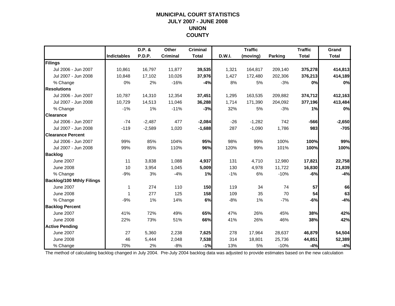### **MUNICIPAL COURT STATISTICSJULY 2007 - JUNE 2008 UNION COUNTY**

|                                  |                    | D.P. &   | Other           | <b>Criminal</b> |        | <b>Traffic</b> |                | <b>Traffic</b> | Grand        |
|----------------------------------|--------------------|----------|-----------------|-----------------|--------|----------------|----------------|----------------|--------------|
|                                  | <b>Indictables</b> | P.D.P.   | <b>Criminal</b> | <b>Total</b>    | D.W.I. | (moving)       | <b>Parking</b> | <b>Total</b>   | <b>Total</b> |
| Filings                          |                    |          |                 |                 |        |                |                |                |              |
| Jul 2006 - Jun 2007              | 10,861             | 16,797   | 11,877          | 39,535          | 1,321  | 164,817        | 209,140        | 375,278        | 414,813      |
| Jul 2007 - Jun 2008              | 10,848             | 17,102   | 10,026          | 37,976          | 1,427  | 172,480        | 202,306        | 376,213        | 414,189      |
| % Change                         | 0%                 | 2%       | $-16%$          | $-4%$           | 8%     | 5%             | $-3%$          | 0%             | 0%           |
| <b>Resolutions</b>               |                    |          |                 |                 |        |                |                |                |              |
| Jul 2006 - Jun 2007              | 10.787             | 14,310   | 12,354          | 37,451          | 1,295  | 163,535        | 209,882        | 374,712        | 412,163      |
| Jul 2007 - Jun 2008              | 10,729             | 14,513   | 11,046          | 36,288          | 1,714  | 171,390        | 204,092        | 377,196        | 413,484      |
| % Change                         | $-1%$              | 1%       | $-11%$          | $-3%$           | 32%    | 5%             | $-3%$          | 1%             | 0%           |
| <b>Clearance</b>                 |                    |          |                 |                 |        |                |                |                |              |
| Jul 2006 - Jun 2007              | $-74$              | $-2,487$ | 477             | $-2,084$        | $-26$  | $-1,282$       | 742            | $-566$         | $-2,650$     |
| Jul 2007 - Jun 2008              | $-119$             | $-2,589$ | 1,020           | $-1,688$        | 287    | $-1,090$       | 1,786          | 983            | $-705$       |
| <b>Clearance Percent</b>         |                    |          |                 |                 |        |                |                |                |              |
| Jul 2006 - Jun 2007              | 99%                | 85%      | 104%            | 95%             | 98%    | 99%            | 100%           | 100%           | 99%          |
| Jul 2007 - Jun 2008              | 99%                | 85%      | 110%            | 96%             | 120%   | 99%            | 101%           | 100%           | 100%         |
| <b>Backlog</b>                   |                    |          |                 |                 |        |                |                |                |              |
| <b>June 2007</b>                 | 11                 | 3,838    | 1,088           | 4,937           | 131    | 4,710          | 12,980         | 17,821         | 22,758       |
| <b>June 2008</b>                 | 10                 | 3,954    | 1.045           | 5,009           | 130    | 4,978          | 11,722         | 16,830         | 21,839       |
| % Change                         | $-9%$              | 3%       | $-4%$           | 1%              | $-1%$  | 6%             | $-10%$         | $-6%$          | $-4%$        |
| <b>Backlog/100 Mthly Filings</b> |                    |          |                 |                 |        |                |                |                |              |
| <b>June 2007</b>                 | 1                  | 274      | 110             | 150             | 119    | 34             | 74             | 57             | 66           |
| <b>June 2008</b>                 | -1                 | 277      | 125             | 158             | 109    | 35             | 70             | 54             | 63           |
| % Change                         | $-9%$              | 1%       | 14%             | 6%              | $-8%$  | 1%             | $-7%$          | -6%            | $-4%$        |
| <b>Backlog Percent</b>           |                    |          |                 |                 |        |                |                |                |              |
| <b>June 2007</b>                 | 41%                | 72%      | 49%             | 65%             | 47%    | 26%            | 45%            | 38%            | 42%          |
| <b>June 2008</b>                 | 22%                | 73%      | 51%             | 66%             | 41%    | 26%            | 46%            | 38%            | 42%          |
| <b>Active Pending</b>            |                    |          |                 |                 |        |                |                |                |              |
| <b>June 2007</b>                 | 27                 | 5,360    | 2,238           | 7,625           | 278    | 17,964         | 28,637         | 46,879         | 54,504       |
| <b>June 2008</b>                 | 46                 | 5,444    | 2,048           | 7,538           | 314    | 18,801         | 25,736         | 44,851         | 52,389       |
| % Change                         | 70%                | 2%       | $-8%$           | $-1%$           | 13%    | 5%             | $-10%$         | $-4%$          | $-4%$        |